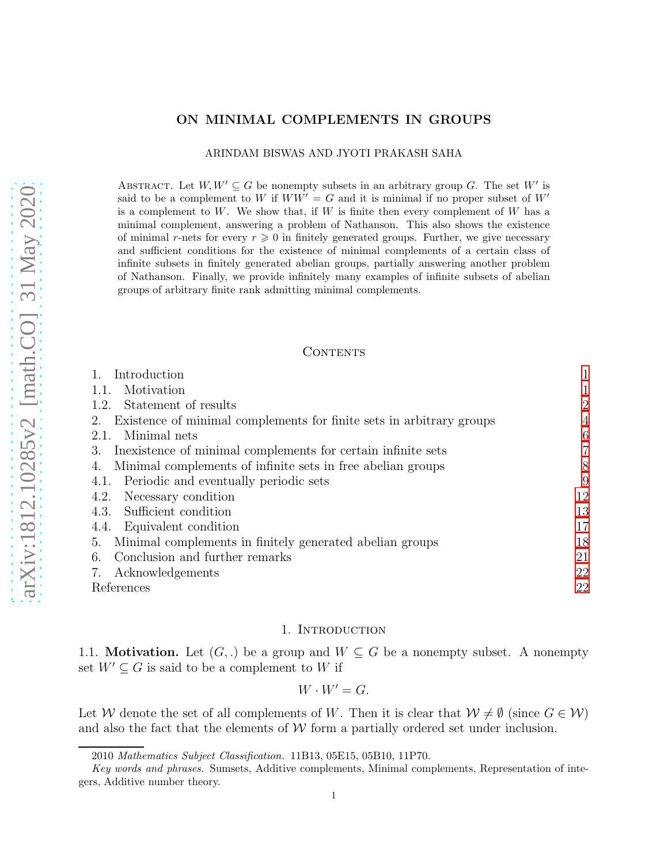## ON MINIMAL COMPLEMENTS IN GROUPS

ARINDAM BISWAS AND JYOTI PRAKASH SAHA

ABSTRACT. Let  $W, W' \subseteq G$  be nonempty subsets in an arbitrary group G. The set W' is said to be a complement to W if  $WW' = G$  and it is minimal if no proper subset of W' is a complement to  $W$ . We show that, if  $W$  is finite then every complement of  $W$  has a minimal complement, answering a problem of Nathanson. This also shows the existence of minimal r-nets for every  $r \geq 0$  in finitely generated groups. Further, we give necessary and sufficient conditions for the existence of minimal complements of a certain class of infinite subsets in finitely generated abelian groups, partially answering another problem of Nathanson. Finally, we provide infinitely many examples of infinite subsets of abelian groups of arbitrary finite rank admitting minimal complements.

#### CONTENTS

| Introduction                                                               |                |
|----------------------------------------------------------------------------|----------------|
| Motivation<br>1.1.                                                         |                |
| Statement of results<br>1.2.                                               | 2              |
| Existence of minimal complements for finite sets in arbitrary groups<br>2. | 4              |
| Minimal nets<br>2.1.                                                       | 6              |
| Inexistence of minimal complements for certain infinite sets<br>3.         | $\overline{7}$ |
| Minimal complements of infinite sets in free abelian groups<br>4.          | 8              |
| 4.1. Periodic and eventually periodic sets                                 | 9              |
| Necessary condition<br>4.2.                                                | 12             |
| Sufficient condition<br>4.3.                                               | 13             |
| 4.4. Equivalent condition                                                  | 17             |
| Minimal complements in finitely generated abelian groups<br>5.             | 18             |
| Conclusion and further remarks<br>6.                                       | 21             |
| Acknowledgements<br>7.                                                     | 22             |
| References                                                                 | 22             |
|                                                                            |                |

## 1. Introduction

<span id="page-0-1"></span><span id="page-0-0"></span>1.1. **Motivation.** Let  $(G,.)$  be a group and  $W \subseteq G$  be a nonempty subset. A nonempty set  $W' \subseteq G$  is said to be a complement to W if

$$
W\cdot W'=G.
$$

Let W denote the set of all complements of W. Then it is clear that  $W \neq \emptyset$  (since  $G \in W$ ) and also the fact that the elements of  $W$  form a partially ordered set under inclusion.

<sup>2010</sup> *Mathematics Subject Classification.* 11B13, 05E15, 05B10, 11P70.

*Key words and phrases.* Sumsets, Additive complements, Minimal complements, Representation of integers, Additive number theory.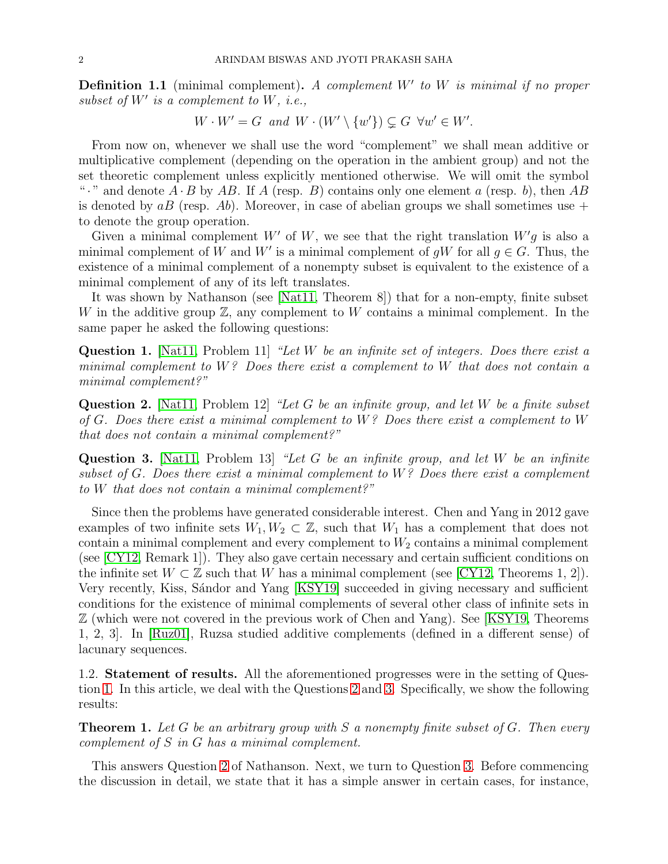**Definition 1.1** (minimal complement). A complement  $W'$  to  $W$  is minimal if no proper subset of  $W'$  is a complement to  $W$ , i.e.,

$$
W \cdot W' = G \text{ and } W \cdot (W' \setminus \{w'\}) \subsetneq G \ \forall w' \in W'.
$$

From now on, whenever we shall use the word "complement" we shall mean additive or multiplicative complement (depending on the operation in the ambient group) and not the set theoretic complement unless explicitly mentioned otherwise. We will omit the symbol "." and denote  $A \cdot B$  by AB. If A (resp. B) contains only one element a (resp. b), then AB is denoted by  $aB$  (resp. Ab). Moreover, in case of abelian groups we shall sometimes use + to denote the group operation.

Given a minimal complement W' of W, we see that the right translation  $W'g$  is also a minimal complement of W and W' is a minimal complement of  $gW$  for all  $g \in G$ . Thus, the existence of a minimal complement of a nonempty subset is equivalent to the existence of a minimal complement of any of its left translates.

It was shown by Nathanson (see [\[Nat11,](#page-21-2) Theorem 8]) that for a non-empty, finite subset W in the additive group  $\mathbb{Z}$ , any complement to W contains a minimal complement. In the same paper he asked the following questions:

<span id="page-1-1"></span>**Question 1.** [\[Nat11,](#page-21-2) Problem 11] "Let W be an infinite set of integers. Does there exist a minimal complement to  $W<sup>2</sup>$  Does there exist a complement to W that does not contain a minimal complement?"

<span id="page-1-2"></span>Question 2. [\[Nat11,](#page-21-2) Problem 12] "Let G be an infinite group, and let W be a finite subset of G. Does there exist a minimal complement to  $W$ ? Does there exist a complement to  $W$ that does not contain a minimal complement?"

<span id="page-1-3"></span>Question 3. [\[Nat11,](#page-21-2) Problem 13] "Let G be an infinite group, and let W be an infinite subset of G. Does there exist a minimal complement to  $W$ ? Does there exist a complement to W that does not contain a minimal complement?"

Since then the problems have generated considerable interest. Chen and Yang in 2012 gave examples of two infinite sets  $W_1, W_2 \subset \mathbb{Z}$ , such that  $W_1$  has a complement that does not contain a minimal complement and every complement to  $W_2$  contains a minimal complement (see [\[CY12,](#page-21-3) Remark 1]). They also gave certain necessary and certain sufficient conditions on the infinite set  $W \subset \mathbb{Z}$  such that W has a minimal complement (see [\[CY12,](#page-21-3) Theorems 1, 2]). Very recently, Kiss, S´andor and Yang [\[KSY19\]](#page-21-4) succeeded in giving necessary and sufficient conditions for the existence of minimal complements of several other class of infinite sets in Z (which were not covered in the previous work of Chen and Yang). See [\[KSY19,](#page-21-4) Theorems 1, 2, 3]. In [\[Ruz01\]](#page-21-5), Ruzsa studied additive complements (defined in a different sense) of lacunary sequences.

<span id="page-1-0"></span>1.2. Statement of results. All the aforementioned progresses were in the setting of Question [1.](#page-1-1) In this article, we deal with the Questions [2](#page-1-2) and [3.](#page-1-3) Specifically, we show the following results:

<span id="page-1-4"></span>**Theorem 1.** Let G be an arbitrary group with S a nonempty finite subset of G. Then every complement of S in G has a minimal complement.

This answers Question [2](#page-1-2) of Nathanson. Next, we turn to Question [3.](#page-1-3) Before commencing the discussion in detail, we state that it has a simple answer in certain cases, for instance,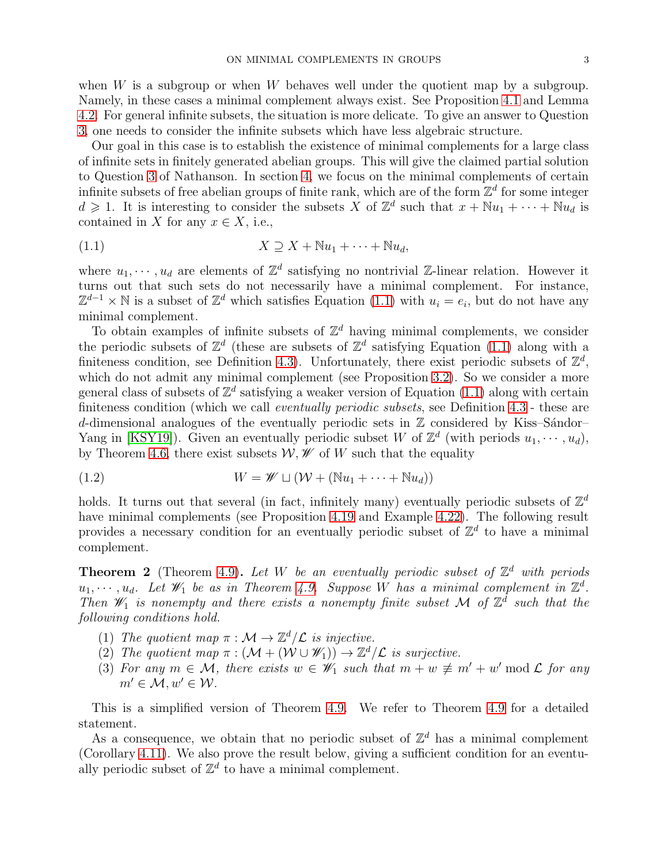when  $W$  is a subgroup or when  $W$  behaves well under the quotient map by a subgroup. Namely, in these cases a minimal complement always exist. See Proposition [4.1](#page-7-1) and Lemma [4.2.](#page-7-2) For general infinite subsets, the situation is more delicate. To give an answer to Question [3,](#page-1-3) one needs to consider the infinite subsets which have less algebraic structure.

Our goal in this case is to establish the existence of minimal complements for a large class of infinite sets in finitely generated abelian groups. This will give the claimed partial solution to Question [3](#page-1-3) of Nathanson. In section [4,](#page-7-0) we focus on the minimal complements of certain infinite subsets of free abelian groups of finite rank, which are of the form  $\mathbb{Z}^d$  for some integer  $d \geq 1$ . It is interesting to consider the subsets X of  $\mathbb{Z}^d$  such that  $x + \mathbb{N}u_1 + \cdots + \mathbb{N}u_d$  is contained in X for any  $x \in X$ , i.e.,

<span id="page-2-0"></span>
$$
(1.1) \t\t X \supseteq X + \mathbb{N}u_1 + \cdots + \mathbb{N}u_d,
$$

where  $u_1, \dots, u_d$  are elements of  $\mathbb{Z}^d$  satisfying no nontrivial  $\mathbb{Z}$ -linear relation. However it turns out that such sets do not necessarily have a minimal complement. For instance,  $\mathbb{Z}^{d-1} \times \mathbb{N}$  is a subset of  $\mathbb{Z}^d$  which satisfies Equation [\(1.1\)](#page-2-0) with  $u_i = e_i$ , but do not have any minimal complement.

To obtain examples of infinite subsets of  $\mathbb{Z}^d$  having minimal complements, we consider the periodic subsets of  $\mathbb{Z}^d$  (these are subsets of  $\mathbb{Z}^d$  satisfying Equation [\(1.1\)](#page-2-0) along with a finiteness condition, see Definition [4.3\)](#page-8-1). Unfortunately, there exist periodic subsets of  $\mathbb{Z}^d$ , which do not admit any minimal complement (see Proposition [3.2\)](#page-6-1). So we consider a more general class of subsets of  $\mathbb{Z}^d$  satisfying a weaker version of Equation [\(1.1\)](#page-2-0) along with certain finiteness condition (which we call *eventually periodic subsets*, see Definition [4.3](#page-8-1) - these are d-dimensional analogues of the eventually periodic sets in  $\mathbb Z$  considered by Kiss–Sándor– Yang in [\[KSY19\]](#page-21-4)). Given an eventually periodic subset W of  $\mathbb{Z}^d$  (with periods  $u_1, \dots, u_d$ ), by Theorem [4.6,](#page-9-0) there exist subsets  $W, W$  of W such that the equality

(1.2) 
$$
W = \mathscr{W} \sqcup (\mathcal{W} + (\mathbb{N}u_1 + \cdots + \mathbb{N}u_d))
$$

holds. It turns out that several (in fact, infinitely many) eventually periodic subsets of  $\mathbb{Z}^d$ have minimal complements (see Proposition [4.19](#page-14-0) and Example [4.22\)](#page-16-1). The following result provides a necessary condition for an eventually periodic subset of  $\mathbb{Z}^d$  to have a minimal complement.

**Theorem 2** (Theorem [4.9\)](#page-11-1). Let W be an eventually periodic subset of  $\mathbb{Z}^d$  with periods  $u_1, \dots, u_d$ . Let  $\mathscr{W}_1$  be as in Theorem [4.9.](#page-11-1) Suppose W has a minimal complement in  $\mathbb{Z}^d$ . Then  $\mathscr{W}_1$  is nonempty and there exists a nonempty finite subset M of  $\mathbb{Z}^{\bar{d}}$  such that the following conditions hold.

- (1) The quotient map  $\pi : \mathcal{M} \to \mathbb{Z}^d/\mathcal{L}$  is injective.
- (2) The quotient map  $\pi : (\mathcal{M} + (\mathcal{W} \cup \mathcal{W}_1)) \to \mathbb{Z}^d/\mathcal{L}$  is surjective.
- (3) For any  $m \in \mathcal{M}$ , there exists  $w \in \mathscr{W}_1$  such that  $m + w \not\equiv m' + w' \mod \mathcal{L}$  for any  $m' \in \mathcal{M}, w' \in \mathcal{W}$ .

This is a simplified version of Theorem [4.9.](#page-11-1) We refer to Theorem [4.9](#page-11-1) for a detailed statement.

As a consequence, we obtain that no periodic subset of  $\mathbb{Z}^d$  has a minimal complement (Corollary [4.11\)](#page-12-1). We also prove the result below, giving a sufficient condition for an eventually periodic subset of  $\mathbb{Z}^d$  to have a minimal complement.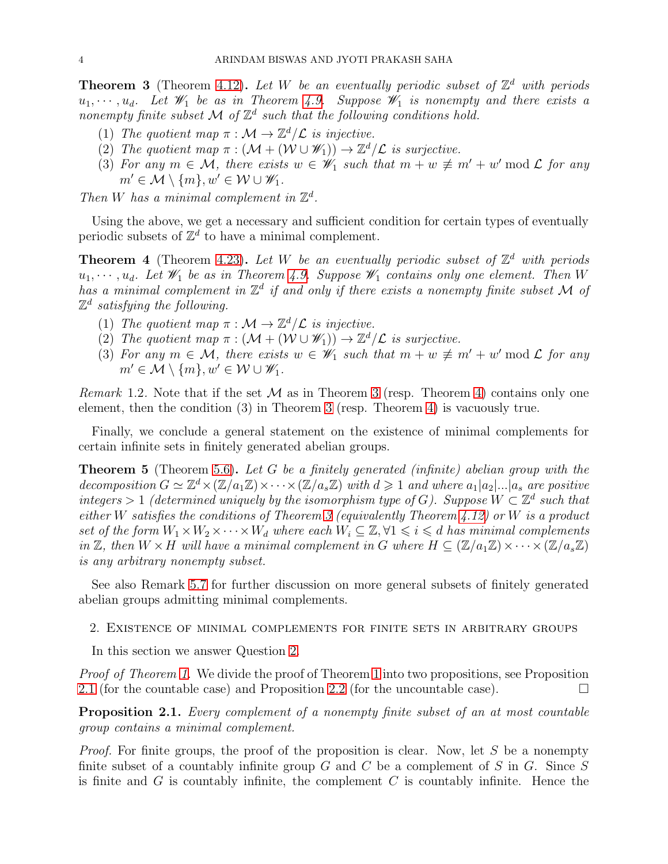<span id="page-3-1"></span>**Theorem 3** (Theorem [4.12\)](#page-12-2). Let W be an eventually periodic subset of  $\mathbb{Z}^d$  with periods  $u_1, \dots, u_d$ . Let  $\mathscr{W}_1$  be as in Theorem [4.9.](#page-11-1) Suppose  $\mathscr{W}_1$  is nonempty and there exists a nonempty finite subset  $\mathcal M$  of  $\mathbb Z^d$  such that the following conditions hold.

- (1) The quotient map  $\pi : \mathcal{M} \to \mathbb{Z}^d/\mathcal{L}$  is injective.
- (2) The quotient map  $\pi : (\mathcal{M} + (\mathcal{W} \cup \mathcal{W}_1)) \to \mathbb{Z}^d/\mathcal{L}$  is surjective.
- (3) For any  $m \in \mathcal{M}$ , there exists  $w \in \mathscr{W}_1$  such that  $m + w \not\equiv m' + w' \mod \mathcal{L}$  for any  $m' \in \mathcal{M} \setminus \{m\}, w' \in \mathcal{W} \cup \mathcal{W}_1.$

Then W has a minimal complement in  $\mathbb{Z}^d$ .

Using the above, we get a necessary and sufficient condition for certain types of eventually periodic subsets of  $\mathbb{Z}^d$  to have a minimal complement.

<span id="page-3-2"></span>**Theorem 4** (Theorem [4.23\)](#page-16-2). Let W be an eventually periodic subset of  $\mathbb{Z}^d$  with periods  $u_1, \dots, u_d$ . Let  $\mathscr{W}_1$  be as in Theorem [4.9.](#page-11-1) Suppose  $\mathscr{W}_1$  contains only one element. Then W has a minimal complement in  $\mathbb{Z}^d$  if and only if there exists a nonempty finite subset M of  $\mathbb{Z}^d$  satisfying the following.

- (1) The quotient map  $\pi : \mathcal{M} \to \mathbb{Z}^d/\mathcal{L}$  is injective.
- (2) The quotient map  $\pi : (\mathcal{M} + (\mathcal{W} \cup \mathcal{W}_1)) \to \mathbb{Z}^d/\mathcal{L}$  is surjective.
- (3) For any  $m \in \mathcal{M}$ , there exists  $w \in \mathscr{W}_1$  such that  $m + w \not\equiv m' + w' \mod \mathcal{L}$  for any  $m' \in \mathcal{M} \setminus \{m\}, w' \in \mathcal{W} \cup \mathcal{W}_1.$

*Remark* 1.2. Note that if the set  $\mathcal M$  as in Theorem [3](#page-3-1) (resp. Theorem [4\)](#page-3-2) contains only one element, then the condition (3) in Theorem [3](#page-3-1) (resp. Theorem [4\)](#page-3-2) is vacuously true.

Finally, we conclude a general statement on the existence of minimal complements for certain infinite sets in finitely generated abelian groups.

**Theorem 5** (Theorem [5.6\)](#page-19-0). Let G be a finitely generated (infinite) abelian group with the decomposition  $G \simeq \mathbb{Z}^d \times (\mathbb{Z}/a_1\mathbb{Z}) \times \cdots \times (\mathbb{Z}/a_s\mathbb{Z})$  with  $d \geq 1$  and where  $a_1|a_2|...|a_s$  are positive integers > 1 (determined uniquely by the isomorphism type of G). Suppose  $W \subset \mathbb{Z}^d$  such that either W satisfies the conditions of Theorem [3](#page-3-1) (equivalently Theorem [4.12\)](#page-12-2) or W is a product set of the form  $W_1 \times W_2 \times \cdots \times W_d$  where each  $W_i \subseteq \mathbb{Z}, \forall 1 \leq i \leq d$  has minimal complements in Z, then  $W \times H$  will have a minimal complement in G where  $H \subseteq (\mathbb{Z}/a_1\mathbb{Z}) \times \cdots \times (\mathbb{Z}/a_s\mathbb{Z})$ is any arbitrary nonempty subset.

See also Remark [5.7](#page-19-1) for further discussion on more general subsets of finitely generated abelian groups admitting minimal complements.

<span id="page-3-0"></span>2. Existence of minimal complements for finite sets in arbitrary groups

In this section we answer Question [2.](#page-1-2)

Proof of Theorem [1.](#page-1-4) We divide the proof of Theorem [1](#page-1-4) into two propositions, see Proposition [2.1](#page-3-3) (for the countable case) and Proposition [2.2](#page-4-0) (for the uncountable case).

<span id="page-3-3"></span>**Proposition 2.1.** Every complement of a nonempty finite subset of an at most countable group contains a minimal complement.

Proof. For finite groups, the proof of the proposition is clear. Now, let S be a nonempty finite subset of a countably infinite group  $G$  and  $C$  be a complement of  $S$  in  $G$ . Since  $S$ is finite and G is countably infinite, the complement  $C$  is countably infinite. Hence the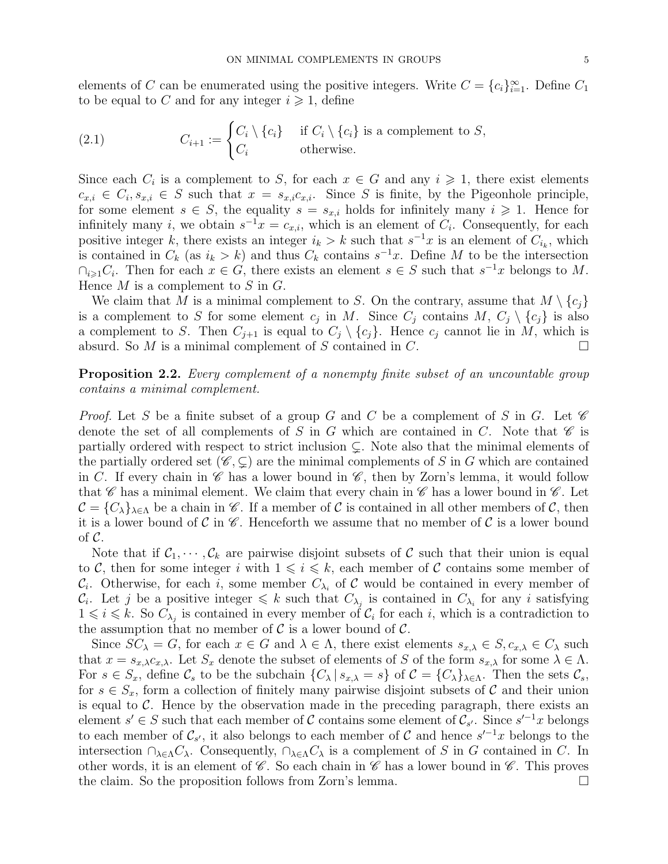elements of C can be enumerated using the positive integers. Write  $C = \{c_i\}_{i=1}^{\infty}$ . Define  $C_1$ to be equal to C and for any integer  $i \geq 1$ , define

(2.1) 
$$
C_{i+1} := \begin{cases} C_i \setminus \{c_i\} & \text{if } C_i \setminus \{c_i\} \text{ is a complement to } S, \\ C_i & \text{otherwise.} \end{cases}
$$

Since each  $C_i$  is a complement to S, for each  $x \in G$  and any  $i \geq 1$ , there exist elements  $c_{x,i} \in C_i$ ,  $s_{x,i} \in S$  such that  $x = s_{x,i}c_{x,i}$ . Since S is finite, by the Pigeonhole principle, for some element  $s \in S$ , the equality  $s = s_{x,i}$  holds for infinitely many  $i \geq 1$ . Hence for infinitely many *i*, we obtain  $s^{-1}x = c_{x,i}$ , which is an element of  $C_i$ . Consequently, for each positive integer k, there exists an integer  $i_k > k$  such that  $s^{-1}x$  is an element of  $C_{i_k}$ , which is contained in  $C_k$  (as  $i_k > k$ ) and thus  $C_k$  contains  $s^{-1}x$ . Define M to be the intersection  $\bigcap_{i\geqslant 1} C_i$ . Then for each  $x \in G$ , there exists an element  $s \in S$  such that  $s^{-1}x$  belongs to M. Hence  $M$  is a complement to  $S$  in  $G$ .

We claim that M is a minimal complement to S. On the contrary, assume that  $M \setminus \{c_i\}$ is a complement to S for some element  $c_j$  in M. Since  $C_j$  contains  $M$ ,  $C_j \setminus \{c_j\}$  is also a complement to S. Then  $C_{j+1}$  is equal to  $C_j \setminus \{c_j\}$ . Hence  $c_j$  cannot lie in M, which is absurd. So M is a minimal complement of S contained in C. absurd. So  $M$  is a minimal complement of  $S$  contained in  $C$ .

<span id="page-4-0"></span>Proposition 2.2. Every complement of a nonempty finite subset of an uncountable group contains a minimal complement.

*Proof.* Let S be a finite subset of a group G and C be a complement of S in G. Let  $\mathscr C$ denote the set of all complements of S in G which are contained in C. Note that  $\mathscr C$  is partially ordered with respect to strict inclusion  $\subsetneq$ . Note also that the minimal elements of the partially ordered set  $(\mathscr{C}, \subset)$  are the minimal complements of S in G which are contained in C. If every chain in  $\mathscr C$  has a lower bound in  $\mathscr C$ , then by Zorn's lemma, it would follow that  $\mathscr C$  has a minimal element. We claim that every chain in  $\mathscr C$  has a lower bound in  $\mathscr C$ . Let  $\mathcal{C} = \{C_{\lambda}\}_{\lambda \in \Lambda}$  be a chain in  $\mathscr{C}$ . If a member of  $\mathcal{C}$  is contained in all other members of  $\mathcal{C}$ , then it is a lower bound of C in  $\mathscr C$ . Henceforth we assume that no member of C is a lower bound of  $\mathcal{C}$ .

Note that if  $\mathcal{C}_1, \dots, \mathcal{C}_k$  are pairwise disjoint subsets of C such that their union is equal to C, then for some integer i with  $1 \leq i \leq k$ , each member of C contains some member of  $\mathcal{C}_i$ . Otherwise, for each i, some member  $C_{\lambda_i}$  of  $\mathcal C$  would be contained in every member of  $\mathcal{C}_i$ . Let j be a positive integer  $\leq k$  such that  $C_{\lambda_i}$  is contained in  $C_{\lambda_i}$  for any i satisfying  $1 \leq i \leq k$ . So  $C_{\lambda_j}$  is contained in every member of  $C_i$  for each i, which is a contradiction to the assumption that no member of  $\mathcal C$  is a lower bound of  $\mathcal C$ .

Since  $SC_{\lambda} = G$ , for each  $x \in G$  and  $\lambda \in \Lambda$ , there exist elements  $s_{x,\lambda} \in S$ ,  $c_{x,\lambda} \in C_{\lambda}$  such that  $x = s_{x,\lambda}c_{x,\lambda}$ . Let  $S_x$  denote the subset of elements of S of the form  $s_{x,\lambda}$  for some  $\lambda \in \Lambda$ . For  $s \in S_x$ , define  $\mathcal{C}_s$  to be the subchain  $\{C_\lambda \mid s_{x,\lambda} = s\}$  of  $\mathcal{C} = \{C_\lambda\}_{\lambda \in \Lambda}$ . Then the sets  $\mathcal{C}_s$ , for  $s \in S_x$ , form a collection of finitely many pairwise disjoint subsets of C and their union is equal to  $\mathcal C$ . Hence by the observation made in the preceding paragraph, there exists an element  $s' \in S$  such that each member of C contains some element of  $\mathcal{C}_{s'}$ . Since  $s'^{-1}x$  belongs to each member of  $\mathcal{C}_{s'}$ , it also belongs to each member of  $\mathcal{C}$  and hence  $s'^{-1}x$  belongs to the intersection  $\cap_{\lambda \in \Lambda} C_{\lambda}$ . Consequently,  $\cap_{\lambda \in \Lambda} C_{\lambda}$  is a complement of S in G contained in C. In other words, it is an element of  $\mathscr C$ . So each chain in  $\mathscr C$  has a lower bound in  $\mathscr C$ . This proves the claim. So the proposition follows from Zorn's lemma.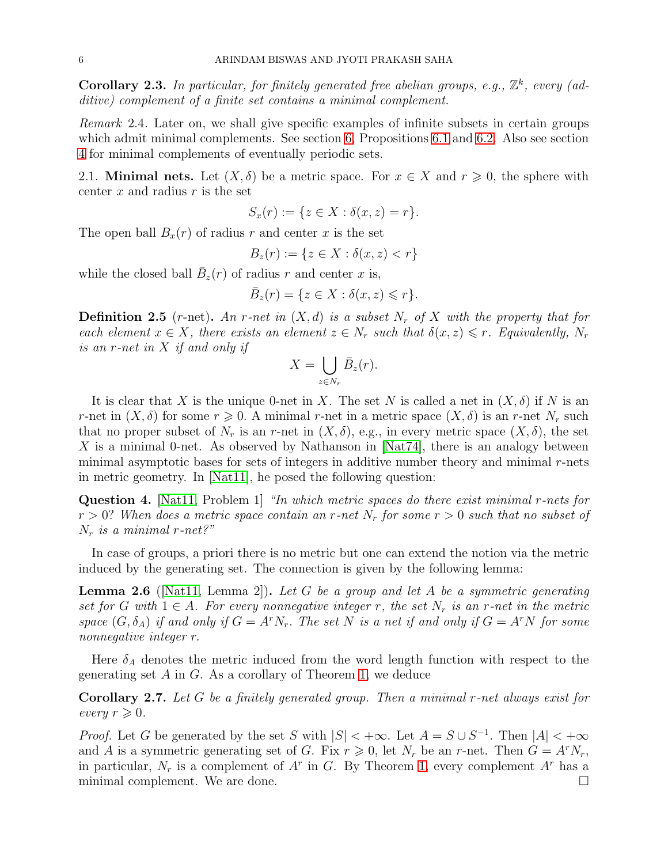**Corollary 2.3.** In particular, for finitely generated free abelian groups, e.g.,  $\mathbb{Z}^k$ , every (additive) complement of a finite set contains a minimal complement.

Remark 2.4. Later on, we shall give specific examples of infinite subsets in certain groups which admit minimal complements. See section [6,](#page-20-0) Propositions [6.1](#page-20-1) and [6.2.](#page-20-2) Also see section [4](#page-7-0) for minimal complements of eventually periodic sets.

<span id="page-5-0"></span>2.1. **Minimal nets.** Let  $(X, \delta)$  be a metric space. For  $x \in X$  and  $r \geq 0$ , the sphere with center  $x$  and radius  $r$  is the set

$$
S_x(r) := \{ z \in X : \delta(x, z) = r \}.
$$

The open ball  $B_x(r)$  of radius r and center x is the set

$$
B_z(r) := \{ z \in X : \delta(x, z) < r \}
$$

while the closed ball  $\bar{B}_z(r)$  of radius r and center x is,

$$
\bar{B}_z(r) = \{ z \in X : \delta(x, z) \leqslant r \}.
$$

**Definition 2.5** (r-net). An r-net in  $(X,d)$  is a subset  $N_r$  of X with the property that for each element  $x \in X$ , there exists an element  $z \in N_r$  such that  $\delta(x, z) \leq r$ . Equivalently,  $N_r$ is an r-net in X if and only if

$$
X = \bigcup_{z \in N_r} \bar{B}_z(r).
$$

It is clear that X is the unique 0-net in X. The set N is called a net in  $(X, \delta)$  if N is an r-net in  $(X, \delta)$  for some  $r \geq 0$ . A minimal r-net in a metric space  $(X, \delta)$  is an r-net  $N_r$  such that no proper subset of  $N_r$  is an r-net in  $(X, \delta)$ , e.g., in every metric space  $(X, \delta)$ , the set X is a minimal 0-net. As observed by Nathanson in  $[Nat74]$ , there is an analogy between minimal asymptotic bases for sets of integers in additive number theory and minimal  $r$ -nets in metric geometry. In [\[Nat11\]](#page-21-2), he posed the following question:

Question 4. [\[Nat11,](#page-21-2) Problem 1] "In which metric spaces do there exist minimal r-nets for  $r > 0$ ? When does a metric space contain an r-net  $N_r$  for some  $r > 0$  such that no subset of  $N_r$  is a minimal r-net?"

In case of groups, a priori there is no metric but one can extend the notion via the metric induced by the generating set. The connection is given by the following lemma:

**Lemma 2.6** ([\[Nat11,](#page-21-2) Lemma 2]). Let G be a group and let A be a symmetric generating set for G with  $1 \in A$ . For every nonnegative integer r, the set  $N_r$  is an r-net in the metric space  $(G, \delta_A)$  if and only if  $G = A^r N_r$ . The set N is a net if and only if  $G = A^r N$  for some nonnegative integer r.

Here  $\delta_A$  denotes the metric induced from the word length function with respect to the generating set  $A$  in  $G$ . As a corollary of Theorem [1,](#page-1-4) we deduce

Corollary 2.7. Let G be a finitely generated group. Then a minimal r-net always exist for every  $r \geqslant 0$ .

*Proof.* Let G be generated by the set S with  $|S| < +\infty$ . Let  $A = S \cup S^{-1}$ . Then  $|A| < +\infty$ and A is a symmetric generating set of G. Fix  $r \geq 0$ , let  $N_r$  be an r-net. Then  $G = A^r N_r$ , in particular,  $N_r$  is a complement of  $A^r$  in G. By Theorem [1,](#page-1-4) every complement  $A^r$  has a minimal complement. We are done.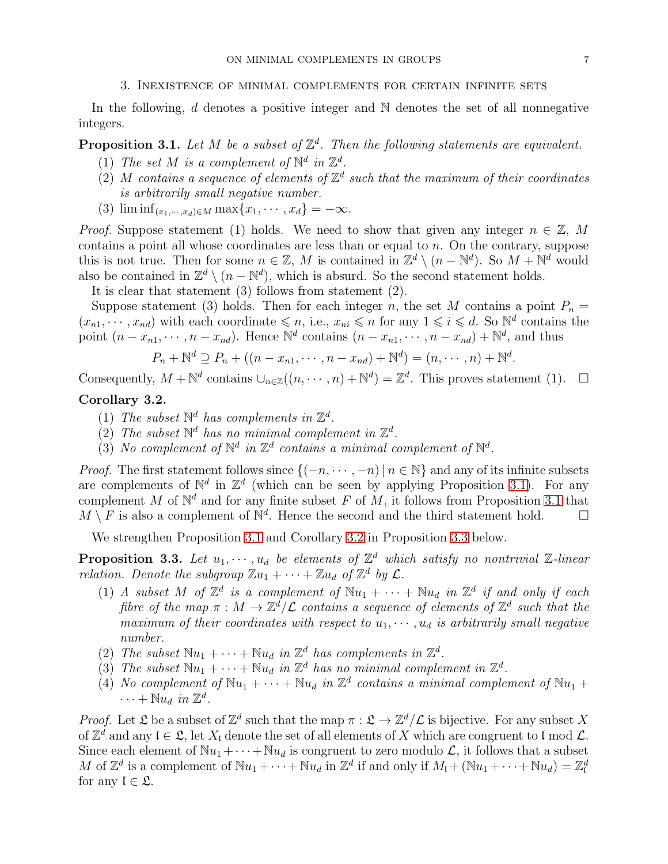#### 3. Inexistence of minimal complements for certain infinite sets

<span id="page-6-0"></span>In the following,  $d$  denotes a positive integer and  $\mathbb N$  denotes the set of all nonnegative integers.

# <span id="page-6-2"></span>**Proposition 3.1.** Let M be a subset of  $\mathbb{Z}^d$ . Then the following statements are equivalent.

- (1) The set M is a complement of  $\mathbb{N}^d$  in  $\mathbb{Z}^d$ .
- (2) M contains a sequence of elements of  $\mathbb{Z}^d$  such that the maximum of their coordinates is arbitrarily small negative number.
- (3)  $\liminf_{(x_1,\dots,x_d)\in M} \max\{x_1,\dots,x_d\} = -\infty.$

*Proof.* Suppose statement (1) holds. We need to show that given any integer  $n \in \mathbb{Z}$ , M contains a point all whose coordinates are less than or equal to  $n$ . On the contrary, suppose this is not true. Then for some  $n \in \mathbb{Z}$ , M is contained in  $\mathbb{Z}^d \setminus (n - \mathbb{N}^d)$ . So  $M + \mathbb{N}^d$  would also be contained in  $\mathbb{Z}^d \setminus (n - \mathbb{N}^d)$ , which is absurd. So the second statement holds.

It is clear that statement (3) follows from statement (2).

Suppose statement (3) holds. Then for each integer n, the set M contains a point  $P_n =$  $(x_{n1}, \dots, x_{nd})$  with each coordinate  $\leqslant n$ , i.e.,  $x_{ni} \leqslant n$  for any  $1 \leqslant i \leqslant d$ . So  $\mathbb{N}^d$  contains the point  $(n - x_{n1}, \dots, n - x_{nd})$ . Hence  $\mathbb{N}^d$  contains  $(n - x_{n1}, \dots, n - x_{nd}) + \mathbb{N}^d$ , and thus

$$
P_n + \mathbb{N}^d \supseteq P_n + ((n - x_{n1}, \dots, n - x_{nd}) + \mathbb{N}^d) = (n, \dots, n) + \mathbb{N}^d.
$$

Consequently,  $M + \mathbb{N}^d$  contains  $\cup_{n \in \mathbb{Z}} ((n, \dots, n) + \mathbb{N}^d) = \mathbb{Z}^d$ . This proves statement (1).  $\Box$ 

## <span id="page-6-1"></span>Corollary 3.2.

- (1) The subset  $\mathbb{N}^d$  has complements in  $\mathbb{Z}^d$ .
- (2) The subset  $\mathbb{N}^d$  has no minimal complement in  $\mathbb{Z}^d$ .
- (3) No complement of  $\mathbb{N}^d$  in  $\mathbb{Z}^d$  contains a minimal complement of  $\mathbb{N}^d$ .

*Proof.* The first statement follows since  $\{(-n, \dots, -n) | n \in \mathbb{N}\}\$  and any of its infinite subsets are complements of  $\mathbb{N}^d$  in  $\mathbb{Z}^d$  (which can be seen by applying Proposition [3.1\)](#page-6-2). For any complement M of  $\mathbb{N}^d$  and for any finite subset F of M, it follows from Proposition [3.1](#page-6-2) that  $M \setminus F$  is also a complement of  $\mathbb{N}^d$ . Hence the second and the third statement hold.  $\Box$ 

We strengthen Proposition [3.1](#page-6-2) and Corollary [3.2](#page-6-1) in Proposition [3.3](#page-6-3) below.

<span id="page-6-3"></span>**Proposition 3.3.** Let  $u_1, \dots, u_d$  be elements of  $\mathbb{Z}^d$  which satisfy no nontrivial  $\mathbb{Z}$ -linear relation. Denote the subgroup  $\mathbb{Z} u_1 + \cdots + \mathbb{Z} u_d$  of  $\mathbb{Z}^d$  by  $\mathcal{L}$ .

- (1) A subset M of  $\mathbb{Z}^d$  is a complement of  $\mathbb{N}u_1 + \cdots + \mathbb{N}u_d$  in  $\mathbb{Z}^d$  if and only if each fibre of the map  $\pi : M \to \mathbb{Z}^d/\mathcal{L}$  contains a sequence of elements of  $\mathbb{Z}^d$  such that the maximum of their coordinates with respect to  $u_1, \dots, u_d$  is arbitrarily small negative number.
- (2) The subset  $\mathbb{N}u_1 + \cdots + \mathbb{N}u_d$  in  $\mathbb{Z}^d$  has complements in  $\mathbb{Z}^d$ .
- (3) The subset  $\mathbb{N}u_1 + \cdots + \mathbb{N}u_d$  in  $\mathbb{Z}^d$  has no minimal complement in  $\mathbb{Z}^d$ .
- (4) No complement of  $\mathbb{N}u_1 + \cdots + \mathbb{N}u_d$  in  $\mathbb{Z}^d$  contains a minimal complement of  $\mathbb{N}u_1 +$  $\cdots + \mathbb{N} u_d$  in  $\mathbb{Z}^d$ .

*Proof.* Let  $\mathfrak L$  be a subset of  $\mathbb Z^d$  such that the map  $\pi : \mathfrak L \to \mathbb Z^d/\mathcal L$  is bijective. For any subset X of  $\mathbb{Z}^d$  and any  $\mathfrak{l} \in \mathfrak{L}$ , let  $X_{\mathfrak{l}}$  denote the set of all elements of X which are congruent to  $\mathfrak{l}$  mod  $\mathcal{L}$ . Since each element of  $\mathbb{N}u_1 + \cdots + \mathbb{N}u_d$  is congruent to zero modulo  $\mathcal{L}$ , it follows that a subset M of  $\mathbb{Z}^d$  is a complement of  $\mathbb{N}u_1 + \cdots + \mathbb{N}u_d$  in  $\mathbb{Z}^d$  if and only if  $M_l + (\mathbb{N}u_1 + \cdots + \mathbb{N}u_d) = \mathbb{Z}_l^d$ for any  $\mathfrak{l} \in \mathfrak{L}$ .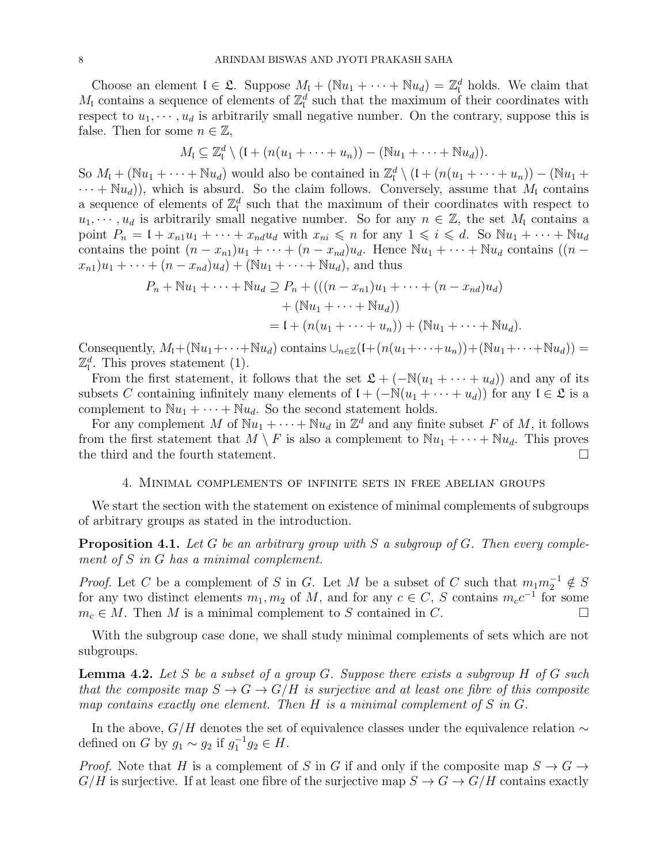Choose an element  $I \in \mathcal{L}$ . Suppose  $M_I + (Nu_I + \cdots + Nu_d) = \mathbb{Z}_I^d$  holds. We claim that  $M_{\rm I}$  contains a sequence of elements of  $\mathbb{Z}_{\rm I}^d$  such that the maximum of their coordinates with respect to  $u_1, \dots, u_d$  is arbitrarily small negative number. On the contrary, suppose this is false. Then for some  $n \in \mathbb{Z}$ ,

$$
M_{\mathfrak{l}} \subseteq \mathbb{Z}_{\mathfrak{l}}^d \setminus (\mathfrak{l} + (n(u_1 + \cdots + u_n)) - (\mathbb{N}u_1 + \cdots + \mathbb{N}u_d)).
$$

So  $M_l + (\mathbb{N}u_1 + \cdots + \mathbb{N}u_d)$  would also be contained in  $\mathbb{Z}_l^d \setminus (l + (n(u_1 + \cdots + u_n)) - (\mathbb{N}u_1 +$  $\cdots + \mathbb{N}u_d$ ), which is absurd. So the claim follows. Conversely, assume that  $M_l$  contains a sequence of elements of  $\mathbb{Z}_I^d$  such that the maximum of their coordinates with respect to  $u_1, \dots, u_d$  is arbitrarily small negative number. So for any  $n \in \mathbb{Z}$ , the set  $M_l$  contains a point  $P_n = 1 + x_{n1}u_1 + \cdots + x_{nd}u_d$  with  $x_{ni} \leq n$  for any  $1 \leq i \leq d$ . So  $\mathbb{N}u_1 + \cdots + \mathbb{N}u_d$ contains the point  $(n - x_{n1})u_1 + \cdots + (n - x_{nd})u_d$ . Hence  $\mathbb{N}u_1 + \cdots + \mathbb{N}u_d$  contains  $((n (x_{n1})u_1 + \cdots + (n - x_{nd})u_d$  + (Nu<sub>1</sub> +  $\cdots$  + Nu<sub>d</sub>), and thus

$$
P_n + \mathbb{N}u_1 + \dots + \mathbb{N}u_d \supseteq P_n + (((n - x_{n1})u_1 + \dots + (n - x_{nd})u_d) + (\mathbb{N}u_1 + \dots + \mathbb{N}u_d)) = I + (n(u_1 + \dots + u_n)) + (\mathbb{N}u_1 + \dots + \mathbb{N}u_d).
$$

Consequently,  $M_1 + (\mathbb{N}u_1 + \cdots + \mathbb{N}u_d)$  contains  $\cup_{n \in \mathbb{Z}} (1 + (n(u_1 + \cdots + u_n)) + (\mathbb{N}u_1 + \cdots + \mathbb{N}u_d)) =$  $\mathbb{Z}_I^d$ . This proves statement (1).

From the first statement, it follows that the set  $\mathfrak{L} + (-\mathbb{N}(u_1 + \cdots + u_d))$  and any of its subsets C containing infinitely many elements of  $\mathfrak{l} + (-\mathbb{N}(u_1 + \cdots + u_d))$  for any  $\mathfrak{l} \in \mathfrak{L}$  is a complement to  $\mathbb{N}u_1 + \cdots + \mathbb{N}u_d$ . So the second statement holds.

For any complement M of  $\mathbb{N}u_1 + \cdots + \mathbb{N}u_d$  in  $\mathbb{Z}^d$  and any finite subset F of M, it follows from the first statement that  $M \setminus F$  is also a complement to  $\mathbb{N}u_1 + \cdots + \mathbb{N}u_d$ . This proves the third and the fourth statement. the third and the fourth statement.

#### 4. Minimal complements of infinite sets in free abelian groups

<span id="page-7-0"></span>We start the section with the statement on existence of minimal complements of subgroups of arbitrary groups as stated in the introduction.

<span id="page-7-1"></span>**Proposition 4.1.** Let G be an arbitrary group with S a subgroup of G. Then every complement of S in G has a minimal complement.

*Proof.* Let C be a complement of S in G. Let M be a subset of C such that  $m_1 m_2^{-1} \notin S$ for any two distinct elements  $m_1, m_2$  of M, and for any  $c \in C$ , S contains  $m_c c^{-1}$  for some  $m_c \in M$ . Then M is a minimal complement to S contained in C.

With the subgroup case done, we shall study minimal complements of sets which are not subgroups.

<span id="page-7-2"></span>**Lemma 4.2.** Let S be a subset of a group G. Suppose there exists a subgroup H of G such that the composite map  $S \to G \to G/H$  is surjective and at least one fibre of this composite map contains exactly one element. Then  $H$  is a minimal complement of  $S$  in  $G$ .

In the above,  $G/H$  denotes the set of equivalence classes under the equivalence relation  $\sim$ defined on G by  $g_1 \sim g_2$  if  $g_1^{-1}g_2 \in H$ .

*Proof.* Note that H is a complement of S in G if and only if the composite map  $S \to G \to$  $G/H$  is surjective. If at least one fibre of the surjective map  $S \to G \to G/H$  contains exactly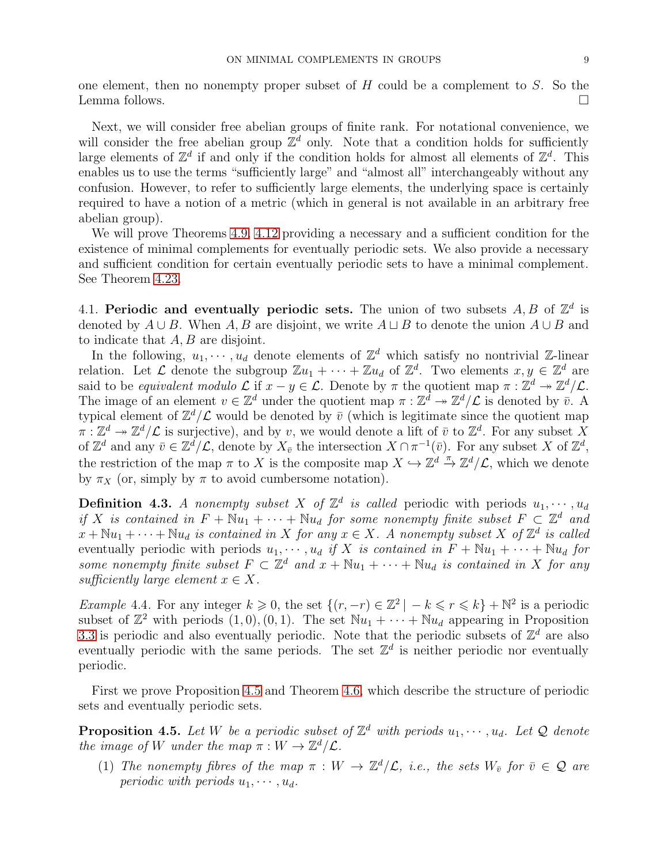one element, then no nonempty proper subset of  $H$  could be a complement to  $S$ . So the Lemma follows.

Next, we will consider free abelian groups of finite rank. For notational convenience, we will consider the free abelian group  $\mathbb{Z}^d$  only. Note that a condition holds for sufficiently large elements of  $\mathbb{Z}^d$  if and only if the condition holds for almost all elements of  $\mathbb{Z}^d$ . This enables us to use the terms "sufficiently large" and "almost all" interchangeably without any confusion. However, to refer to sufficiently large elements, the underlying space is certainly required to have a notion of a metric (which in general is not available in an arbitrary free abelian group).

We will prove Theorems [4.9,](#page-11-1) [4.12](#page-12-2) providing a necessary and a sufficient condition for the existence of minimal complements for eventually periodic sets. We also provide a necessary and sufficient condition for certain eventually periodic sets to have a minimal complement. See Theorem [4.23.](#page-16-2)

<span id="page-8-0"></span>4.1. Periodic and eventually periodic sets. The union of two subsets  $A, B$  of  $\mathbb{Z}^d$  is denoted by  $A \cup B$ . When A, B are disjoint, we write  $A \sqcup B$  to denote the union  $A \cup B$  and to indicate that A, B are disjoint.

In the following,  $u_1, \dots, u_d$  denote elements of  $\mathbb{Z}^d$  which satisfy no nontrivial  $\mathbb{Z}$ -linear relation. Let  $\mathcal L$  denote the subgroup  $\mathbb Z u_1 + \cdots + \mathbb Z u_d$  of  $\mathbb Z^d$ . Two elements  $x, y \in \mathbb Z^d$  are said to be equivalent modulo  $\mathcal{L}$  if  $x - y \in \mathcal{L}$ . Denote by  $\pi$  the quotient map  $\pi : \mathbb{Z}^d \to \mathbb{Z}^d/\mathcal{L}$ . The image of an element  $v \in \mathbb{Z}^d$  under the quotient map  $\pi : \mathbb{Z}^d \to \mathbb{Z}^d/\mathcal{L}$  is denoted by  $\overline{v}$ . A typical element of  $\mathbb{Z}^d/\mathcal{L}$  would be denoted by  $\bar{v}$  (which is legitimate since the quotient map  $\pi: \mathbb{Z}^d \to \mathbb{Z}^d/\mathcal{L}$  is surjective), and by v, we would denote a lift of  $\bar{v}$  to  $\mathbb{Z}^d$ . For any subset X of  $\mathbb{Z}^d$  and any  $\bar{v} \in \mathbb{Z}^d/\mathcal{L}$ , denote by  $X_{\bar{v}}$  the intersection  $X \cap \pi^{-1}(\bar{v})$ . For any subset X of  $\mathbb{Z}^d$ , the restriction of the map  $\pi$  to X is the composite map  $X \hookrightarrow \mathbb{Z}^d \xrightarrow{\pi} \mathbb{Z}^d/\mathcal{L}$ , which we denote by  $\pi_X$  (or, simply by  $\pi$  to avoid cumbersome notation).

<span id="page-8-1"></span>**Definition 4.3.** A nonempty subset X of  $\mathbb{Z}^d$  is called periodic with periods  $u_1, \dots, u_d$ if X is contained in  $F + Nu_1 + \cdots + Nu_d$  for some nonempty finite subset  $F \subset \mathbb{Z}^d$  and  $x + \mathbb{N}u_1 + \cdots + \mathbb{N}u_d$  is contained in X for any  $x \in X$ . A nonempty subset X of  $\mathbb{Z}^d$  is called eventually periodic with periods  $u_1, \dots, u_d$  if X is contained in  $F + Nu_1 + \dots + Nu_d$  for some nonempty finite subset  $F \subset \mathbb{Z}^d$  and  $x + \mathbb{N}u_1 + \cdots + \mathbb{N}u_d$  is contained in X for any sufficiently large element  $x \in X$ .

Example 4.4. For any integer  $k \geq 0$ , the set  $\{(r, -r) \in \mathbb{Z}^2 \mid -k \leq r \leq k\} + \mathbb{N}^2$  is a periodic subset of  $\mathbb{Z}^2$  with periods  $(1, 0), (0, 1)$ . The set  $\mathbb{N}u_1 + \cdots + \mathbb{N}u_d$  appearing in Proposition [3.3](#page-6-3) is periodic and also eventually periodic. Note that the periodic subsets of  $\mathbb{Z}^d$  are also eventually periodic with the same periods. The set  $\mathbb{Z}^d$  is neither periodic nor eventually periodic.

First we prove Proposition [4.5](#page-8-2) and Theorem [4.6,](#page-9-0) which describe the structure of periodic sets and eventually periodic sets.

<span id="page-8-2"></span>**Proposition 4.5.** Let W be a periodic subset of  $\mathbb{Z}^d$  with periods  $u_1, \dots, u_d$ . Let Q denote the image of W under the map  $\pi : W \to \mathbb{Z}^d/\mathcal{L}$ .

(1) The nonempty fibres of the map  $\pi : W \to \mathbb{Z}^d/\mathcal{L}$ , i.e., the sets  $W_{\bar{v}}$  for  $\bar{v} \in \mathcal{Q}$  are periodic with periods  $u_1, \dots, u_d$ .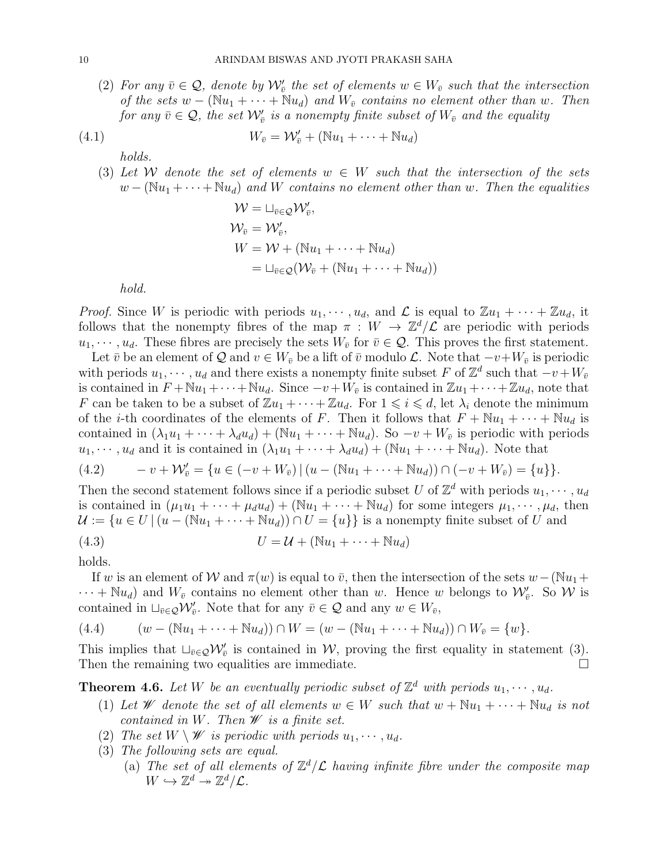(2) For any  $\bar{v} \in \mathcal{Q}$ , denote by  $\mathcal{W}'_{\bar{v}}$  the set of elements  $w \in W_{\bar{v}}$  such that the intersection of the sets  $w - (\mathbb{N}u_1 + \cdots + \mathbb{N}u_d)$  and  $W_{\bar{v}}$  contains no element other than w. Then for any  $\bar{v}\in\mathcal{Q},$  the set  $\mathcal{W}'_{\bar{v}}$  is a nonempty finite subset of  $W_{\bar{v}}$  and the equality

$$
(4.1) \t W_{\bar{v}} = \mathcal{W}'_{\bar{v}} + (\mathbb{N}u_1 + \cdots + \mathbb{N}u_d)
$$

holds.

(3) Let W denote the set of elements  $w \in W$  such that the intersection of the sets  $w - (\mathbb{N}u_1 + \cdots + \mathbb{N}u_d)$  and W contains no element other than w. Then the equalities

$$
\mathcal{W} = \sqcup_{\bar{v} \in \mathcal{Q}} \mathcal{W}'_{\bar{v}},
$$
  
\n
$$
\mathcal{W}_{\bar{v}} = \mathcal{W}'_{\bar{v}},
$$
  
\n
$$
W = \mathcal{W} + (\mathbb{N}u_1 + \dots + \mathbb{N}u_d)
$$
  
\n
$$
= \sqcup_{\bar{v} \in \mathcal{Q}} (\mathcal{W}_{\bar{v}} + (\mathbb{N}u_1 + \dots + \mathbb{N}u_d))
$$

hold.

*Proof.* Since W is periodic with periods  $u_1, \dots, u_d$ , and  $\mathcal L$  is equal to  $\mathbb Z u_1 + \dots + \mathbb Z u_d$ , it follows that the nonempty fibres of the map  $\pi : W \to \mathbb{Z}^d/\mathcal{L}$  are periodic with periods  $u_1, \dots, u_d$ . These fibres are precisely the sets  $W_{\bar{v}}$  for  $\bar{v} \in \mathcal{Q}$ . This proves the first statement.

Let  $\bar{v}$  be an element of Q and  $v \in W_{\bar{v}}$  be a lift of  $\bar{v}$  modulo  $\mathcal{L}$ . Note that  $-v+W_{\bar{v}}$  is periodic with periods  $u_1, \dots, u_d$  and there exists a nonempty finite subset F of  $\mathbb{Z}^d$  such that  $-v+W_{\bar{v}}$ is contained in  $F + Nu_1 + \cdots + Nu_d$ . Since  $-v + W_{\bar{v}}$  is contained in  $\mathbb{Z}u_1 + \cdots + \mathbb{Z}u_d$ , note that F can be taken to be a subset of  $\mathbb{Z}u_1 + \cdots + \mathbb{Z}u_d$ . For  $1 \leq i \leq d$ , let  $\lambda_i$  denote the minimum of the *i*-th coordinates of the elements of F. Then it follows that  $F + Nu_1 + \cdots + Nu_d$  is contained in  $(\lambda_1u_1 + \cdots + \lambda_d u_d) + (\mathbb{N}u_1 + \cdots + \mathbb{N}u_d)$ . So  $-v + W_{\bar{v}}$  is periodic with periods  $u_1, \dots, u_d$  and it is contained in  $(\lambda_1 u_1 + \dots + \lambda_d u_d) + (\mathbb{N}u_1 + \dots + \mathbb{N}u_d)$ . Note that

$$
(4.2) \t-v+{\mathcal W}'_{\bar{v}}=\{u\in (-v+W_{\bar{v}})\,|\,(u-(\mathbb{N}u_1+\cdots+\mathbb{N}u_d))\cap (-v+W_{\bar{v}})=\{u\}\}.
$$

Then the second statement follows since if a periodic subset U of  $\mathbb{Z}^d$  with periods  $u_1, \dots, u_d$ is contained in  $(\mu_1u_1 + \cdots + \mu_du_d) + (\mathbb{N}u_1 + \cdots + \mathbb{N}u_d)$  for some integers  $\mu_1, \cdots, \mu_d$ , then  $\mathcal{U} := \{u \in U \mid (u - (\mathbb{N}u_1 + \cdots + \mathbb{N}u_d)) \cap U = \{u\}\}\$ is a nonempty finite subset of U and

$$
(4.3) \tU = \mathcal{U} + (\mathbb{N}u_1 + \dots + \mathbb{N}u_d)
$$

holds.

If w is an element of W and  $\pi(w)$  is equal to  $\bar{v}$ , then the intersection of the sets  $w-(\mathbb{N}u_1+$  $\cdots + \mathbb{N}u_d$ ) and  $W_{\bar{v}}$  contains no element other than w. Hence w belongs to  $\mathcal{W}'_{\bar{v}}$ . So W is contained in  $\sqcup_{\bar{v}\in\mathcal{Q}}\mathcal{W}'_{\bar{v}}$ . Note that for any  $\bar{v}\in\mathcal{Q}$  and any  $w\in W_{\bar{v}}$ ,

$$
(4.4) \qquad (w - (\mathbb{N}u_1 + \dots + \mathbb{N}u_d)) \cap W = (w - (\mathbb{N}u_1 + \dots + \mathbb{N}u_d)) \cap W_{\bar{v}} = \{w\}.
$$

This implies that  $\sqcup_{\bar{v}\in\mathcal{Q}}\mathcal{W}'_{\bar{v}}$  is contained in W, proving the first equality in statement (3). Then the remaining two equalities are immediate.

<span id="page-9-0"></span>**Theorem 4.6.** Let W be an eventually periodic subset of  $\mathbb{Z}^d$  with periods  $u_1, \dots, u_d$ .

- (1) Let W denote the set of all elements  $w \in W$  such that  $w + \mathbb{N}u_1 + \cdots + \mathbb{N}u_d$  is not contained in W. Then  $\mathscr W$  is a finite set.
- (2) The set  $W \setminus W$  is periodic with periods  $u_1, \dots, u_d$ .
- (3) The following sets are equal.
	- (a) The set of all elements of  $\mathbb{Z}^d/\mathcal{L}$  having infinite fibre under the composite map  $W \hookrightarrow \mathbb{Z}^d \twoheadrightarrow \mathbb{Z}^d/\mathcal{L}.$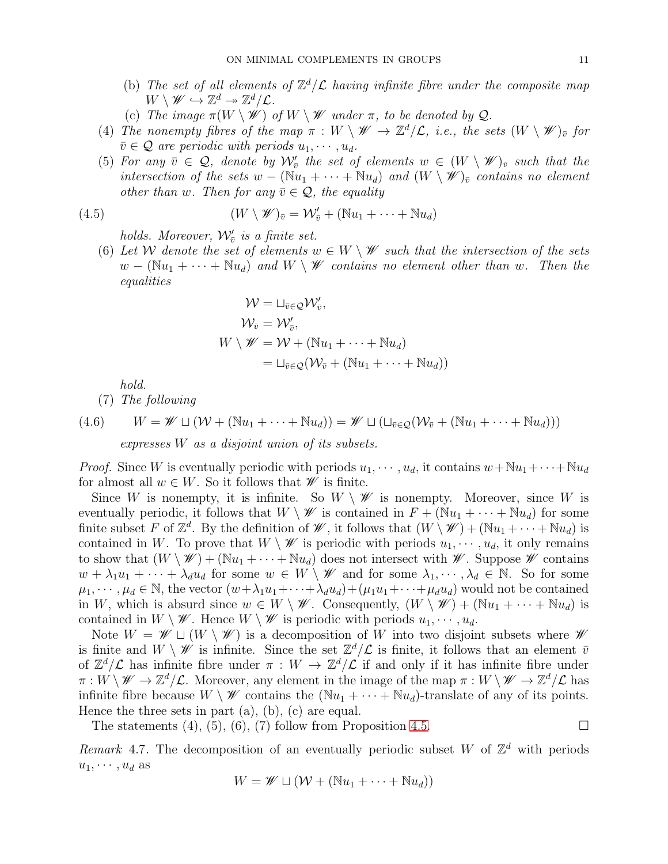- (b) The set of all elements of  $\mathbb{Z}^d/\mathcal{L}$  having infinite fibre under the composite map  $W \setminus \mathscr{W} \hookrightarrow \mathbb{Z}^d \twoheadrightarrow \mathbb{Z}^d/\mathcal{L}.$
- (c) The image  $\pi(W \setminus W)$  of  $W \setminus W$  under  $\pi$ , to be denoted by Q.
- (4) The nonempty fibres of the map  $\pi: W \setminus W \to \mathbb{Z}^d/\mathcal{L}$ , i.e., the sets  $(W \setminus W)_{\bar{v}}$  for  $\bar{v} \in \mathcal{Q}$  are periodic with periods  $u_1, \dots, u_d$ .
- (5) For any  $\overline{v} \in \mathcal{Q}$ , denote by  $\mathcal{W}'_{\overline{v}}$  the set of elements  $w \in (W \setminus \mathscr{W})_{\overline{v}}$  such that the intersection of the sets  $w - (\mathbb{N}u_1 + \cdots + \mathbb{N}u_d)$  and  $(W \setminus W)_{\bar{v}}$  contains no element other than w. Then for any  $\bar{v} \in \mathcal{Q}$ , the equality

(4.5) 
$$
(W \setminus \mathscr{W})_{\bar{v}} = \mathcal{W}'_{\bar{v}} + (\mathbb{N}u_1 + \cdots + \mathbb{N}u_d)
$$

holds. Moreover,  $\mathcal{W}_{\bar{v}}'$  is a finite set.

(6) Let W denote the set of elements  $w \in W \setminus \mathscr{W}$  such that the intersection of the sets  $w - (\mathbb{N}u_1 + \cdots + \mathbb{N}u_d)$  and  $W \setminus W$  contains no element other than w. Then the equalities

$$
\mathcal{W} = \sqcup_{\bar{v} \in \mathcal{Q}} \mathcal{W}'_{\bar{v}},
$$
  
\n
$$
\mathcal{W}_{\bar{v}} = \mathcal{W}'_{\bar{v}},
$$
  
\n
$$
W \setminus \mathscr{W} = \mathcal{W} + (\mathbb{N}u_1 + \dots + \mathbb{N}u_d)
$$
  
\n
$$
= \sqcup_{\bar{v} \in \mathcal{Q}} (\mathcal{W}_{\bar{v}} + (\mathbb{N}u_1 + \dots + \mathbb{N}u_d))
$$

hold.

(7) The following

(4.6)  $W = \mathscr{W} \sqcup (\mathcal{W} + (\mathbb{N}u_1 + \cdots + \mathbb{N}u_d)) = \mathscr{W} \sqcup (\sqcup_{\bar{v} \in \mathcal{O}}(\mathcal{W}_{\bar{v}} + (\mathbb{N}u_1 + \cdots + \mathbb{N}u_d)))$ expresses W as a disjoint union of its subsets.

*Proof.* Since W is eventually periodic with periods  $u_1, \dots, u_d$ , it contains  $w + Nu_1 + \dots + Nu_d$ for almost all  $w \in W$ . So it follows that  $\mathscr W$  is finite.

Since W is nonempty, it is infinite. So  $W \setminus \mathscr{W}$  is nonempty. Moreover, since W is eventually periodic, it follows that  $W \setminus \mathscr{W}$  is contained in  $F + (\mathbb{N}u_1 + \cdots + \mathbb{N}u_d)$  for some finite subset F of  $\mathbb{Z}^d$ . By the definition of W, it follows that  $(W \setminus W) + (\mathbb{N}u_1 + \cdots + \mathbb{N}u_d)$  is contained in W. To prove that  $W \setminus \mathscr{W}$  is periodic with periods  $u_1, \dots, u_d$ , it only remains to show that  $(W \setminus \mathscr{W}) + (\mathbb{N}u_1 + \cdots + \mathbb{N}u_d)$  does not intersect with  $\mathscr{W}$ . Suppose  $\mathscr{W}$  contains  $w + \lambda_1 u_1 + \cdots + \lambda_d u_d$  for some  $w \in W \setminus \mathscr{W}$  and for some  $\lambda_1, \cdots, \lambda_d \in \mathbb{N}$ . So for some  $\mu_1, \dots, \mu_d \in \mathbb{N}$ , the vector  $(w + \lambda_1 u_1 + \dots + \lambda_d u_d) + (\mu_1 u_1 + \dots + \mu_d u_d)$  would not be contained in W, which is absurd since  $w \in W \setminus \mathscr{W}$ . Consequently,  $(W \setminus \mathscr{W}) + (\mathbb{N}u_1 + \cdots + \mathbb{N}u_d)$  is contained in  $W \setminus \mathscr{W}$ . Hence  $W \setminus \mathscr{W}$  is periodic with periods  $u_1, \dots, u_d$ .

Note  $W = \mathscr{W} \sqcup (W \setminus \mathscr{W})$  is a decomposition of W into two disjoint subsets where  $\mathscr{W}$ is finite and  $W \setminus \mathscr{W}$  is infinite. Since the set  $\mathbb{Z}^d/\mathcal{L}$  is finite, it follows that an element  $\bar{v}$ of  $\mathbb{Z}^d/\mathcal{L}$  has infinite fibre under  $\pi : W \to \mathbb{Z}^d/\mathcal{L}$  if and only if it has infinite fibre under  $\pi: W \setminus \mathscr{W} \to \mathbb{Z}^d/\mathcal{L}$ . Moreover, any element in the image of the map  $\pi: W \setminus \mathscr{W} \to \mathbb{Z}^d/\mathcal{L}$  has infinite fibre because  $W \setminus \mathscr{W}$  contains the  $(\mathbb{N}u_1 + \cdots + \mathbb{N}u_d)$ -translate of any of its points. Hence the three sets in part  $(a)$ ,  $(b)$ ,  $(c)$  are equal.

The statements  $(4)$ ,  $(5)$ ,  $(6)$ ,  $(7)$  follow from Proposition [4.5.](#page-8-2)

Remark 4.7. The decomposition of an eventually periodic subset W of  $\mathbb{Z}^d$  with periods  $u_1, \cdots, u_d$  as

$$
W = \mathscr{W} \sqcup (\mathcal{W} + (\mathbb{N}u_1 + \cdots + \mathbb{N}u_d))
$$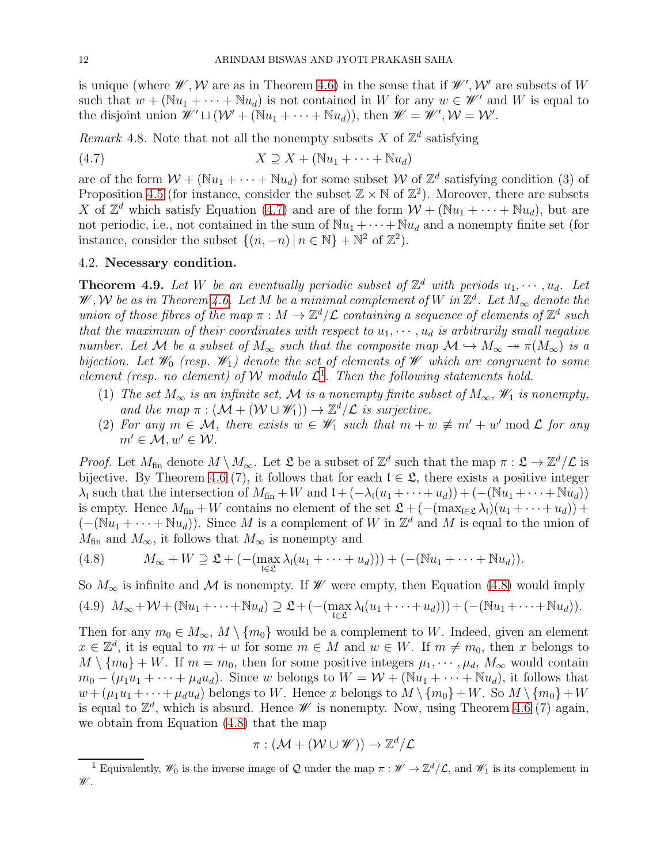is unique (where  $\mathscr{W}, \mathscr{W}$  are as in Theorem [4.6\)](#page-9-0) in the sense that if  $\mathscr{W}', \mathscr{W}'$  are subsets of W such that  $w + (\mathbb{N}u_1 + \cdots + \mathbb{N}u_d)$  is not contained in W for any  $w \in \mathscr{W}'$  and W is equal to the disjoint union  $\mathscr{W}' \sqcup (\mathcal{W}' + (\mathbb{N}u_1 + \cdots + \mathbb{N}u_d)),$  then  $\mathscr{W} = \mathscr{W}', \mathcal{W} = \mathcal{W}'.$ 

Remark 4.8. Note that not all the nonempty subsets X of  $\mathbb{Z}^d$  satisfying

<span id="page-11-2"></span>
$$
(4.7) \t\t X \supseteq X + (\mathbb{N}u_1 + \cdots + \mathbb{N}u_d)
$$

are of the form  $W + (\mathbb{N}u_1 + \cdots + \mathbb{N}u_d)$  for some subset W of  $\mathbb{Z}^d$  satisfying condition (3) of Proposition [4.5](#page-8-2) (for instance, consider the subset  $\mathbb{Z} \times \mathbb{N}$  of  $\mathbb{Z}^2$ ). Moreover, there are subsets X of  $\mathbb{Z}^d$  which satisfy Equation [\(4.7\)](#page-11-2) and are of the form  $\mathcal{W} + (\mathbb{N}u_1 + \cdots + \mathbb{N}u_d)$ , but are not periodic, i.e., not contained in the sum of  $\mathbb{N}u_1 + \cdots + \mathbb{N}u_d$  and a nonempty finite set (for instance, consider the subset  $\{(n, -n) | n \in \mathbb{N}\} + \mathbb{N}^2$  of  $\mathbb{Z}^2$ .

### <span id="page-11-0"></span>4.2. Necessary condition.

<span id="page-11-1"></span>**Theorem 4.9.** Let W be an eventually periodic subset of  $\mathbb{Z}^d$  with periods  $u_1, \dots, u_d$ . Let W, W be as in Theorem [4.6.](#page-9-0) Let M be a minimal complement of W in  $\mathbb{Z}^d$ . Let  $M_\infty$  denote the union of those fibres of the map  $\pi : M \to \mathbb{Z}^d/\mathcal{L}$  containing a sequence of elements of  $\mathbb{Z}^d$  such that the maximum of their coordinates with respect to  $u_1, \dots, u_d$  is arbitrarily small negative number. Let M be a subset of  $M_\infty$  such that the composite map  $\mathcal{M} \hookrightarrow M_\infty \twoheadrightarrow \pi(M_\infty)$  is a bijection. Let  $\mathscr{W}_0$  (resp.  $\mathscr{W}_1$ ) denote the set of elements of  $\mathscr{W}$  which are congruent to some element (resp. no element) of W modulo  $\mathcal{L}^1$  $\mathcal{L}^1$ . Then the following statements hold.

- (1) The set  $M_{\infty}$  is an infinite set, M is a nonempty finite subset of  $M_{\infty}$ ,  $\mathscr{W}_1$  is nonempty, and the map  $\pi : (\mathcal{M} + (\mathcal{W} \cup \mathcal{W}_1)) \to \mathbb{Z}^d/\mathcal{L}$  is surjective.
- (2) For any  $m \in \mathcal{M}$ , there exists  $w \in \mathscr{W}_1$  such that  $m + w \not\equiv m' + w' \mod \mathcal{L}$  for any  $m' \in \mathcal{M}, w' \in \mathcal{W}$ .

*Proof.* Let  $M_{\text{fin}}$  denote  $M \setminus M_{\infty}$ . Let  $\mathfrak{L}$  be a subset of  $\mathbb{Z}^d$  such that the map  $\pi : \mathfrak{L} \to \mathbb{Z}^d/\mathcal{L}$  is bijective. By Theorem [4.6](#page-9-0) (7), it follows that for each  $\mathfrak{l} \in \mathfrak{L}$ , there exists a positive integer  $\lambda_1$  such that the intersection of  $M_{fin} + W$  and  $( + (-\lambda_1(u_1 + \cdots + u_d)) + (-(\mathbb{N}u_1 + \cdots + \mathbb{N}u_d))$ is empty. Hence  $M_{fin} + W$  contains no element of the set  $\mathfrak{L} + (-(\max_{i \in \mathfrak{L}} \lambda_i)(u_1 + \cdots + u_d)) +$  $(-(\mathbb{N}u_1 + \cdots + \mathbb{N}u_d))$ . Since M is a complement of W in  $\mathbb{Z}^d$  and M is equal to the union of  $M_{\rm fin}$  and  $M_{\infty}$ , it follows that  $M_{\infty}$  is nonempty and

<span id="page-11-4"></span>(4.8) 
$$
M_{\infty} + W \supseteq \mathfrak{L} + \left( - (\max_{\mathfrak{l} \in \mathfrak{L}} \lambda_{\mathfrak{l}} (u_1 + \cdots + u_d)) \right) + \left( - (\mathbb{N} u_1 + \cdots + \mathbb{N} u_d) \right).
$$

So  $M_{\infty}$  is infinite and M is nonempty. If W were empty, then Equation [\(4.8\)](#page-11-4) would imply

$$
(4.9) M_{\infty} + \mathcal{W} + (\mathbb{N}u_1 + \cdots + \mathbb{N}u_d) \supseteq \mathfrak{L} + \left( - (\max_{\mathfrak{l} \in \mathfrak{L}} \lambda_{\mathfrak{l}}(u_1 + \cdots + u_d)) \right) + \left( - (\mathbb{N}u_1 + \cdots + \mathbb{N}u_d) \right).
$$

Then for any  $m_0 \in M_\infty$ ,  $M \setminus \{m_0\}$  would be a complement to W. Indeed, given an element  $x \in \mathbb{Z}^d$ , it is equal to  $m + w$  for some  $m \in M$  and  $w \in W$ . If  $m \neq m_0$ , then x belongs to  $M \setminus \{m_0\} + W$ . If  $m = m_0$ , then for some positive integers  $\mu_1, \dots, \mu_d, M_\infty$  would contain  $m_0 - (\mu_1 u_1 + \cdots + \mu_d u_d)$ . Since w belongs to  $W = \mathcal{W} + (\mathbb{N} u_1 + \cdots + \mathbb{N} u_d)$ , it follows that  $w + (\mu_1 u_1 + \cdots + \mu_d u_d)$  belongs to W. Hence x belongs to  $M \setminus \{m_0\} + W$ . So  $M \setminus \{m_0\} + W$ is equal to  $\mathbb{Z}^d$ , which is absurd. Hence  $\mathscr W$  is nonempty. Now, using Theorem [4.6](#page-9-0) (7) again, we obtain from Equation [\(4.8\)](#page-11-4) that the map

$$
\pi: (\mathcal{M} + (\mathcal{W} \cup \mathscr{W})) \to \mathbb{Z}^d/\mathcal{L}
$$

<span id="page-11-3"></span><sup>&</sup>lt;sup>1</sup> Equivalently,  $\mathscr{W}_0$  is the inverse image of Q under the map  $\pi : \mathscr{W} \to \mathbb{Z}^d/\mathcal{L}$ , and  $\mathscr{W}_1$  is its complement in  $\mathscr{W}.$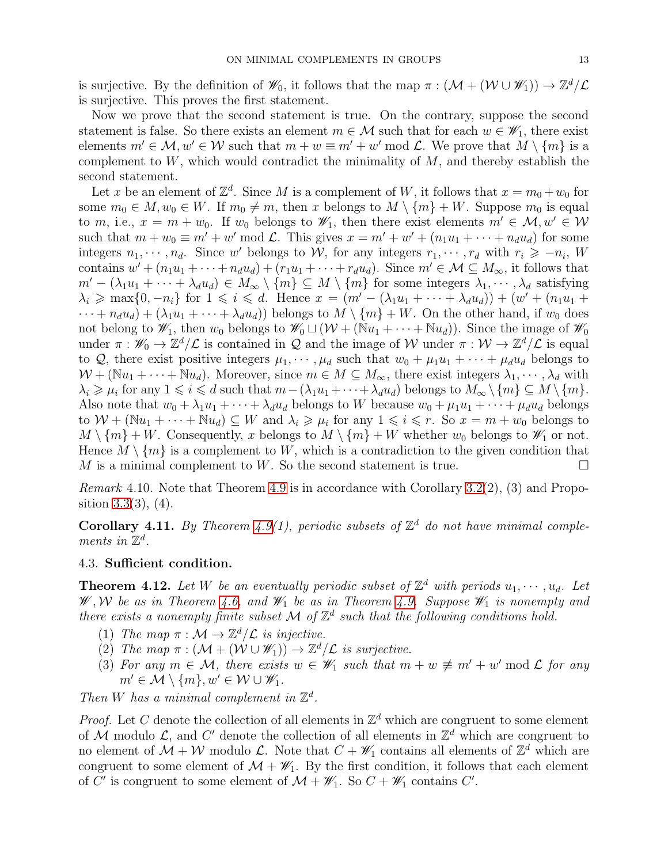is surjective. By the definition of  $\mathscr{W}_0$ , it follows that the map  $\pi : (\mathcal{M} + (\mathcal{W} \cup \mathscr{W}_1)) \to \mathbb{Z}^d/\mathcal{L}$ is surjective. This proves the first statement.

Now we prove that the second statement is true. On the contrary, suppose the second statement is false. So there exists an element  $m \in \mathcal{M}$  such that for each  $w \in \mathscr{W}_1$ , there exist elements  $m' \in \mathcal{M}, w' \in \mathcal{W}$  such that  $m + w \equiv m' + w' \mod \mathcal{L}$ . We prove that  $M \setminus \{m\}$  is a complement to  $W$ , which would contradict the minimality of  $M$ , and thereby establish the second statement.

Let x be an element of  $\mathbb{Z}^d$ . Since M is a complement of W, it follows that  $x = m_0 + w_0$  for some  $m_0 \in M$ ,  $w_0 \in W$ . If  $m_0 \neq m$ , then x belongs to  $M \setminus \{m\} + W$ . Suppose  $m_0$  is equal to m, i.e.,  $x = m + w_0$ . If  $w_0$  belongs to  $\mathscr{W}_1$ , then there exist elements  $m' \in \mathcal{M}, w' \in \mathcal{W}$ such that  $m + w_0 \equiv m' + w' \mod \mathcal{L}$ . This gives  $x = m' + w' + (n_1u_1 + \cdots + n_du_d)$  for some integers  $n_1, \dots, n_d$ . Since w' belongs to W, for any integers  $r_1, \dots, r_d$  with  $r_i \geq -n_i$ , W contains  $w' + (n_1u_1 + \cdots + n_du_d) + (r_1u_1 + \cdots + r_du_d)$ . Since  $m' \in \mathcal{M} \subseteq M_\infty$ , it follows that  $m' - (\lambda_1 u_1 + \cdots + \lambda_d u_d) \in M_\infty \setminus \{m\} \subseteq M \setminus \{m\}$  for some integers  $\lambda_1, \dots, \lambda_d$  satisfying  $\lambda_i \geqslant \max\{0, -n_i\}$  for  $1 \leqslant i \leqslant d$ . Hence  $x = (m' - (\lambda_1 u_1 + \cdots + \lambda_d u_d)) + (w' + (n_1 u_1 + \cdots + n_d u_d))$  $\cdots + n_d u_d$  +  $(\lambda_1 u_1 + \cdots + \lambda_d u_d)$  belongs to  $M \setminus \{m\} + W$ . On the other hand, if  $w_0$  does not belong to  $\mathscr{W}_1$ , then  $w_0$  belongs to  $\mathscr{W}_0 \sqcup (\mathcal{W} + (\mathbb{N}u_1 + \cdots + \mathbb{N}u_d))$ . Since the image of  $\mathscr{W}_0$ under  $\pi : \mathscr{W}_0 \to \mathbb{Z}^d/\mathcal{L}$  is contained in Q and the image of W under  $\pi : \mathcal{W} \to \mathbb{Z}^d/\mathcal{L}$  is equal to Q, there exist positive integers  $\mu_1, \cdots, \mu_d$  such that  $w_0 + \mu_1 u_1 + \cdots + \mu_d u_d$  belongs to  $W + (\mathbb{N}u_1 + \cdots + \mathbb{N}u_d)$ . Moreover, since  $m \in M \subseteq M_\infty$ , there exist integers  $\lambda_1, \cdots, \lambda_d$  with  $\lambda_i \geqslant \mu_i$  for any  $1 \leqslant i \leqslant d$  such that  $m-(\lambda_1u_1+\cdots+\lambda_d u_d)$  belongs to  $M_\infty \setminus \{m\} \subseteq M \setminus \{m\}.$ Also note that  $w_0 + \lambda_1 u_1 + \cdots + \lambda_d u_d$  belongs to W because  $w_0 + \mu_1 u_1 + \cdots + \mu_d u_d$  belongs to  $W + (\mathbb{N}u_1 + \cdots + \mathbb{N}u_d) \subseteq W$  and  $\lambda_i \geq \mu_i$  for any  $1 \leq i \leq r$ . So  $x = m + w_0$  belongs to  $M \setminus \{m\} + W$ . Consequently, x belongs to  $M \setminus \{m\} + W$  whether  $w_0$  belongs to  $\mathscr{W}_1$  or not. Hence  $M \setminus \{m\}$  is a complement to W, which is a contradiction to the given condition that <br>M is a minimal complement to W. So the second statement is true.  $M$  is a minimal complement to  $W$ . So the second statement is true.

*Remark* 4.10. Note that Theorem [4.9](#page-11-1) is in accordance with Corollary [3.2\(](#page-6-1)2), (3) and Proposition  $3.3(3)$ ,  $(4)$ .

<span id="page-12-1"></span>**Corollary 4.11.** By Theorem [4.9\(](#page-11-1)1), periodic subsets of  $\mathbb{Z}^d$  do not have minimal complements in  $\mathbb{Z}^d$ .

## <span id="page-12-0"></span>4.3. Sufficient condition.

<span id="page-12-2"></span>**Theorem 4.12.** Let W be an eventually periodic subset of  $\mathbb{Z}^d$  with periods  $u_1, \dots, u_d$ . Let W, W be as in Theorem [4.6,](#page-9-0) and  $\mathcal{W}_1$  be as in Theorem [4.9.](#page-11-1) Suppose  $\mathcal{W}_1$  is nonempty and there exists a nonempty finite subset M of  $\mathbb{Z}^d$  such that the following conditions hold.

- (1) The map  $\pi : \mathcal{M} \to \mathbb{Z}^d/\mathcal{L}$  is injective.
- (2) The map  $\pi : (\mathcal{M} + (\mathcal{W} \cup \mathcal{W}_1)) \to \mathbb{Z}^d/\mathcal{L}$  is surjective.
- (3) For any  $m \in \mathcal{M}$ , there exists  $w \in \mathscr{W}_1$  such that  $m + w \not\equiv m' + w' \mod \mathcal{L}$  for any  $m' \in \mathcal{M} \setminus \{m\}, w' \in \mathcal{W} \cup \mathcal{W}_1$ .

Then W has a minimal complement in  $\mathbb{Z}^d$ .

*Proof.* Let C denote the collection of all elements in  $\mathbb{Z}^d$  which are congruent to some element of M modulo  $\mathcal{L}$ , and C' denote the collection of all elements in  $\mathbb{Z}^d$  which are congruent to no element of  $\mathcal{M} + \mathcal{W}$  modulo  $\mathcal{L}$ . Note that  $C + \mathscr{W}_1$  contains all elements of  $\mathbb{Z}^d$  which are congruent to some element of  $\mathcal{M} + \mathscr{W}_1$ . By the first condition, it follows that each element of  $C'$  is congruent to some element of  $\mathcal{M} + \mathcal{W}_1$ . So  $C + \mathcal{W}_1$  contains  $C'$ .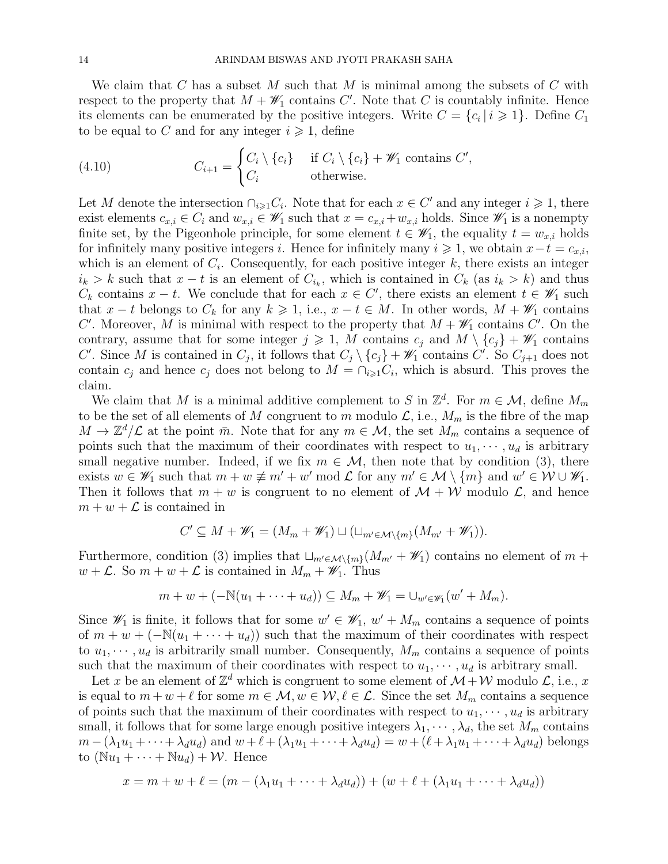We claim that C has a subset M such that M is minimal among the subsets of C with respect to the property that  $M + \mathscr{W}_1$  contains C'. Note that C is countably infinite. Hence its elements can be enumerated by the positive integers. Write  $C = \{c_i | i \geq 1\}$ . Define  $C_1$ to be equal to C and for any integer  $i \geq 1$ , define

(4.10) 
$$
C_{i+1} = \begin{cases} C_i \setminus \{c_i\} & \text{if } C_i \setminus \{c_i\} + \mathscr{W}_1 \text{ contains } C', \\ C_i & \text{otherwise.} \end{cases}
$$

Let M denote the intersection  $\bigcap_{i\geqslant 1} C_i$ . Note that for each  $x \in C'$  and any integer  $i \geqslant 1$ , there exist elements  $c_{x,i} \in C_i$  and  $w_{x,i} \in \mathscr{W}_1$  such that  $x = c_{x,i} + w_{x,i}$  holds. Since  $\mathscr{W}_1$  is a nonempty finite set, by the Pigeonhole principle, for some element  $t \in \mathscr{W}_1$ , the equality  $t = w_{x,i}$  holds for infinitely many positive integers i. Hence for infinitely many  $i \geq 1$ , we obtain  $x-t = c_{x,i}$ , which is an element of  $C_i$ . Consequently, for each positive integer k, there exists an integer  $i_k > k$  such that  $x - t$  is an element of  $C_{i_k}$ , which is contained in  $C_k$  (as  $i_k > k$ ) and thus  $C_k$  contains  $x - t$ . We conclude that for each  $x \in C'$ , there exists an element  $t \in \mathcal{W}_1$  such that  $x - t$  belongs to  $C_k$  for any  $k \geq 1$ , i.e.,  $x - t \in M$ . In other words,  $M + \mathscr{W}_1$  contains C'. Moreover, M is minimal with respect to the property that  $M + \mathscr{W}_1$  contains C'. On the contrary, assume that for some integer  $j \geq 1$ , M contains  $c_j$  and  $M \setminus \{c_j\} + \mathscr{W}_1$  contains C'. Since M is contained in  $C_j$ , it follows that  $C_j \setminus \{c_j\} + \mathscr{W}_1$  contains C'. So  $C_{j+1}$  does not contain  $c_j$  and hence  $c_j$  does not belong to  $M = \bigcap_{i \geq 1} C_i$ , which is absurd. This proves the claim.

We claim that M is a minimal additive complement to S in  $\mathbb{Z}^d$ . For  $m \in \mathcal{M}$ , define  $M_m$ to be the set of all elements of M congruent to m modulo  $\mathcal{L}$ , i.e.,  $M_m$  is the fibre of the map  $M \to \mathbb{Z}^d/\mathcal{L}$  at the point  $\bar{m}$ . Note that for any  $m \in \mathcal{M}$ , the set  $M_m$  contains a sequence of points such that the maximum of their coordinates with respect to  $u_1, \dots, u_d$  is arbitrary small negative number. Indeed, if we fix  $m \in \mathcal{M}$ , then note that by condition (3), there exists  $w \in \mathscr{W}_1$  such that  $m + w \not\equiv m' + w' \mod \mathcal{L}$  for any  $m' \in \mathcal{M} \setminus \{m\}$  and  $w' \in \mathcal{W} \cup \mathscr{W}_1$ . Then it follows that  $m + w$  is congruent to no element of  $\mathcal{M} + \mathcal{W}$  modulo  $\mathcal{L}$ , and hence  $m + w + \mathcal{L}$  is contained in

$$
C' \subseteq M + \mathscr{W}_1 = (M_m + \mathscr{W}_1) \sqcup (\sqcup_{m' \in \mathcal{M} \setminus \{m\}} (M_{m'} + \mathscr{W}_1)).
$$

Furthermore, condition (3) implies that  $\sqcup_{m'\in\mathcal{M}\backslash\{m\}}(M_{m'} + \mathscr{W}_1)$  contains no element of  $m +$  $w + \mathcal{L}$ . So  $m + w + \mathcal{L}$  is contained in  $M_m + \mathscr{W}_1$ . Thus

$$
m+w+(-\mathbb{N}(u_1+\cdots+u_d))\subseteq M_m+\mathscr{W}_1=\cup_{w'\in\mathscr{W}_1}(w'+M_m).
$$

Since  $\mathscr{W}_1$  is finite, it follows that for some  $w' \in \mathscr{W}_1$ ,  $w' + M_m$  contains a sequence of points of  $m + w + (-\mathbb{N}(u_1 + \cdots + u_d))$  such that the maximum of their coordinates with respect to  $u_1, \dots, u_d$  is arbitrarily small number. Consequently,  $M_m$  contains a sequence of points such that the maximum of their coordinates with respect to  $u_1, \dots, u_d$  is arbitrary small.

Let x be an element of  $\mathbb{Z}^d$  which is congruent to some element of  $\mathcal{M} + \mathcal{W}$  modulo  $\mathcal{L}$ , i.e., x is equal to  $m + w + \ell$  for some  $m \in \mathcal{M}, w \in \mathcal{W}, \ell \in \mathcal{L}$ . Since the set  $M_m$  contains a sequence of points such that the maximum of their coordinates with respect to  $u_1, \dots, u_d$  is arbitrary small, it follows that for some large enough positive integers  $\lambda_1, \dots, \lambda_d$ , the set  $M_m$  contains  $m - (\lambda_1u_1 + \cdots + \lambda_d u_d)$  and  $w + \ell + (\lambda_1u_1 + \cdots + \lambda_d u_d) = w + (\ell + \lambda_1u_1 + \cdots + \lambda_d u_d)$  belongs to  $(\mathbb{N}u_1 + \cdots + \mathbb{N}u_d) + \mathcal{W}$ . Hence

$$
x = m + w + \ell = (m - (\lambda_1 u_1 + \dots + \lambda_d u_d)) + (w + \ell + (\lambda_1 u_1 + \dots + \lambda_d u_d))
$$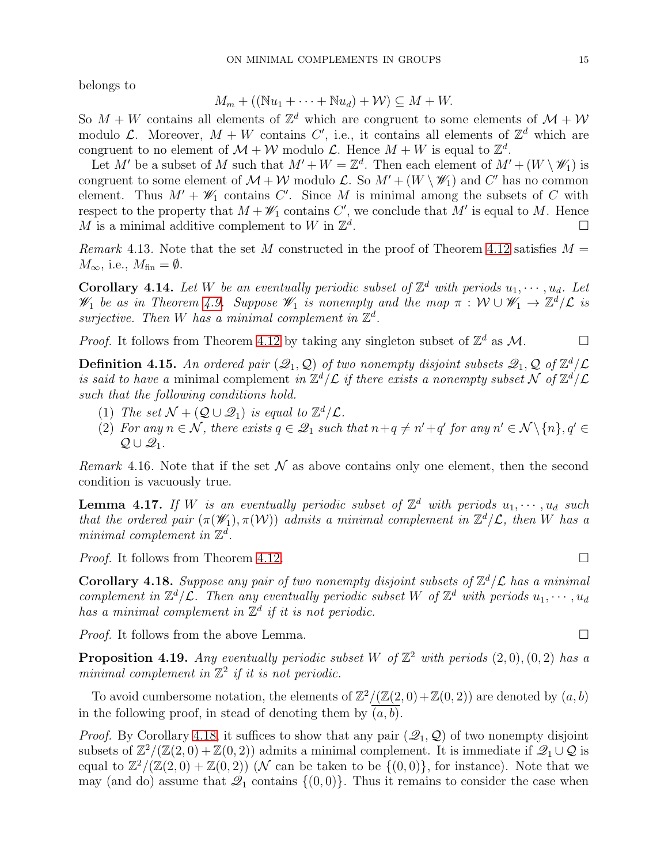belongs to

$$
M_m + ((\mathbb{N}u_1 + \dots + \mathbb{N}u_d) + \mathcal{W}) \subseteq M + W.
$$

So  $M+W$  contains all elements of  $\mathbb{Z}^d$  which are congruent to some elements of  $\mathcal{M}+W$ modulo L. Moreover,  $M + W$  contains C', i.e., it contains all elements of  $\mathbb{Z}^d$  which are congruent to no element of  $\mathcal{M} + \mathcal{W}$  modulo  $\mathcal{L}$ . Hence  $M + W$  is equal to  $\mathbb{Z}^d$ .

Let M' be a subset of M such that  $M' + W = \mathbb{Z}^d$ . Then each element of  $M' + (W \setminus \mathscr{W}_1)$  is congruent to some element of  $\mathcal{M} + \mathcal{W}$  modulo  $\mathcal{L}$ . So  $M' + (W \setminus \mathcal{W}_1)$  and C' has no common element. Thus  $M' + \mathscr{W}_1$  contains C'. Since M is minimal among the subsets of C with respect to the property that  $M + \mathscr{W}_1$  contains  $C'$ , we conclude that  $M'$  is equal to M. Hence M is a minimal additive complement to W in  $\mathbb{Z}^d$ .

Remark 4.13. Note that the set M constructed in the proof of Theorem [4.12](#page-12-2) satisfies  $M =$  $M_{\infty}$ , i.e.,  $M_{\text{fin}} = \emptyset$ .

**Corollary 4.14.** Let W be an eventually periodic subset of  $\mathbb{Z}^d$  with periods  $u_1, \dots, u_d$ . Let W<sub>1</sub> be as in Theorem [4.9.](#page-11-1) Suppose  $\mathscr{W}_1$  is nonempty and the map  $\pi : \mathcal{W} \cup \mathscr{W}_1 \to \mathbb{Z}^d/\mathcal{L}$  is surjective. Then W has a minimal complement in  $\mathbb{Z}^d$ .

*Proof.* It follows from Theorem [4.12](#page-12-2) by taking any singleton subset of  $\mathbb{Z}^d$  as  $\mathcal{M}$ .

<span id="page-14-2"></span>**Definition 4.15.** An ordered pair  $(\mathcal{Q}_1, \mathcal{Q})$  of two nonempty disjoint subsets  $\mathcal{Q}_1, \mathcal{Q}$  of  $\mathbb{Z}^d/\mathcal{L}$ is said to have a minimal complement in  $\mathbb{Z}^d/\mathcal{L}$  if there exists a nonempty subset N of  $\mathbb{Z}^d/\mathcal{L}$ such that the following conditions hold.

- (1) The set  $\mathcal{N} + (\mathcal{Q} \cup \mathcal{Q}_1)$  is equal to  $\mathbb{Z}^d/\mathcal{L}$ .
- (2) For any  $n \in \mathcal{N}$ , there exists  $q \in \mathcal{Q}_1$  such that  $n + q \neq n' + q'$  for any  $n' \in \mathcal{N} \setminus \{n\}, q' \in \mathcal{N}$  $\mathcal{Q} \cup \mathcal{Q}_1$ .

Remark 4.16. Note that if the set  $\mathcal N$  as above contains only one element, then the second condition is vacuously true.

**Lemma 4.17.** If W is an eventually periodic subset of  $\mathbb{Z}^d$  with periods  $u_1, \dots, u_d$  such that the ordered pair  $(\pi(\mathscr{W}_1), \pi(\mathcal{W}))$  admits a minimal complement in  $\mathbb{Z}^d/\mathcal{L}$ , then W has a minimal complement in  $\mathbb{Z}^d$ .

*Proof.* It follows from Theorem [4.12.](#page-12-2)

<span id="page-14-1"></span>**Corollary 4.18.** Suppose any pair of two nonempty disjoint subsets of  $\mathbb{Z}^d/\mathcal{L}$  has a minimal complement in  $\mathbb{Z}^d/\mathcal{L}$ . Then any eventually periodic subset W of  $\mathbb{Z}^d$  with periods  $u_1, \dots, u_d$ has a minimal complement in  $\mathbb{Z}^d$  if it is not periodic.

*Proof.* It follows from the above Lemma.  $\Box$ 

<span id="page-14-0"></span>**Proposition 4.19.** Any eventually periodic subset W of  $\mathbb{Z}^2$  with periods  $(2,0), (0,2)$  has a minimal complement in  $\mathbb{Z}^2$  if it is not periodic.

To avoid cumbersome notation, the elements of  $\mathbb{Z}^2/(\mathbb{Z}(2,0)+\mathbb{Z}(0,2))$  are denoted by  $(a, b)$ in the following proof, in stead of denoting them by  $(a, b)$ .

*Proof.* By Corollary [4.18,](#page-14-1) it suffices to show that any pair  $(\mathcal{Q}_1, \mathcal{Q})$  of two nonempty disjoint subsets of  $\mathbb{Z}^2/(\mathbb{Z}(2,0) + \mathbb{Z}(0,2))$  admits a minimal complement. It is immediate if  $\mathscr{Q}_1 \cup \mathcal{Q}$  is equal to  $\mathbb{Z}^2/(\mathbb{Z}(2,0) + \mathbb{Z}(0,2))$  (N can be taken to be  $\{(0,0)\}\)$ , for instance). Note that we may (and do) assume that  $\mathcal{Q}_1$  contains  $\{(0,0)\}\$ . Thus it remains to consider the case when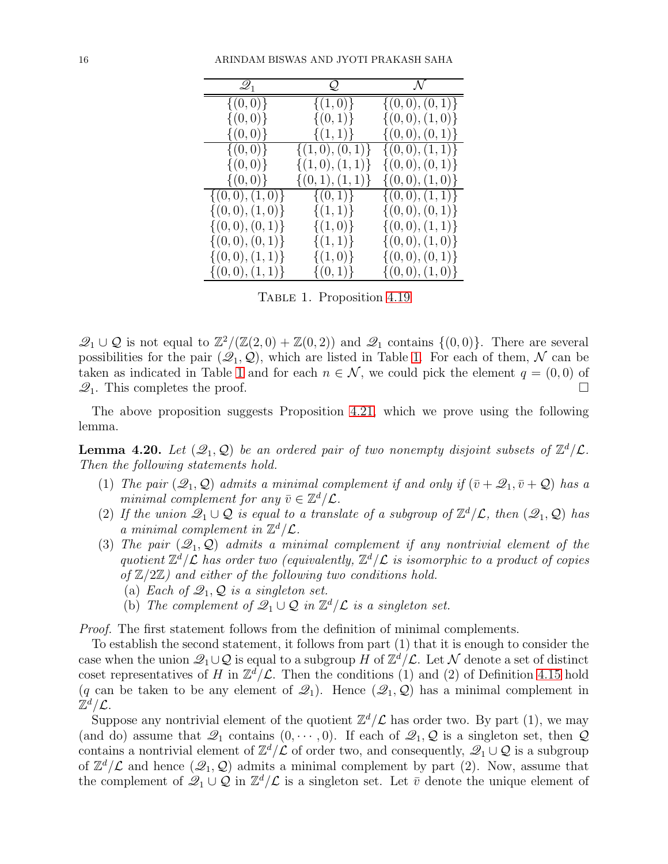| $\mathscr{Q}_1$     | Q.                 | $\mathcal{N}$                |
|---------------------|--------------------|------------------------------|
| $\{(0,0)\}\$        | $\{(1,0)\}\$       | $\{(0,0), (0,1)\}\$          |
| $\{(0,0)\}\$        | $\{(0,1)\}\$       | $\{(0,0),(1,0)\}\$           |
| $\{(0,0)\}\$        | $\{(1,1)\}\$       | $\{(0,0),(0,1)\}\$           |
| $\{(0,0)\}\$        | $\{(1,0),(0,1)\}\$ | $\{(0,0),(1,\overline{1})\}$ |
| $\{(0,0)\}\$        | $\{(1,0),(1,1)\}\$ | $\{(0,0), (0,1)\}\$          |
| $\{(0,0)\}\$        | $\{(0,1),(1,1)\}\$ | $\{(0,0),(1,0)\}\$           |
| $\{(0,0),(1,0)\}\$  | $\{(0,1)\}\$       | $\{(0,0),(1,1)\}\$           |
| $\{(0,0),(1,0)\}\$  | $\{(1,1)\}\$       | $\{(0,0),(0,1)\}\$           |
| $\{(0,0), (0,1)\}\$ | $\{(1,0)\}\$       | $\{(0,0),(1,1)\}\$           |
| $\{(0,0), (0,1)\}\$ | $\{(1,1)\}\$       | $\{(0,0),(1,0)\}\$           |
| $\{(0,0),(1,1)\}\$  | $\{(1,0)\}\$       | $\{(0,0), (0,1)\}\$          |
| $\{(0,0),(1,1)\}\$  | $\{(0,1)\}\$       | $\{(0,0),(1,0)\}\$           |

<span id="page-15-0"></span>TABLE 1. Proposition [4.19](#page-14-0)

 $\mathcal{Q}_1 \cup \mathcal{Q}$  is not equal to  $\mathbb{Z}^2/(\mathbb{Z}(2,0) + \mathbb{Z}(0,2))$  and  $\mathcal{Q}_1$  contains  $\{(0,0)\}$ . There are several possibilities for the pair  $(\mathcal{Q}_1, \mathcal{Q})$ , which are listed in Table [1.](#page-15-0) For each of them, N can be taken as indicated in Table [1](#page-15-0) and for each  $n \in \mathcal{N}$ , we could pick the element  $q = (0, 0)$  of  $\mathcal{Q}_1$ . This completes the proof.  $\mathcal{Q}_1$ . This completes the proof.

The above proposition suggests Proposition [4.21,](#page-16-3) which we prove using the following lemma.

<span id="page-15-1"></span>**Lemma 4.20.** Let  $(\mathcal{Q}_1, \mathcal{Q})$  be an ordered pair of two nonempty disjoint subsets of  $\mathbb{Z}^d/\mathcal{L}$ . Then the following statements hold.

- (1) The pair  $(\mathcal{Q}_1, \mathcal{Q})$  admits a minimal complement if and only if  $(\bar{v} + \mathcal{Q}_1, \bar{v} + \mathcal{Q})$  has a minimal complement for any  $\bar{v} \in \mathbb{Z}^d/\mathcal{L}$ .
- (2) If the union  $\mathscr{Q}_1 \cup \mathscr{Q}$  is equal to a translate of a subgroup of  $\mathbb{Z}^d/\mathcal{L}$ , then  $(\mathscr{Q}_1, \mathscr{Q})$  has a minimal complement in  $\mathbb{Z}^d/\mathcal{L}$ .
- (3) The pair  $(\mathcal{Q}_1, \mathcal{Q})$  admits a minimal complement if any nontrivial element of the quotient  $\mathbb{Z}^d/\mathcal{L}$  has order two (equivalently,  $\mathbb{Z}^d/\mathcal{L}$  is isomorphic to a product of copies of  $\mathbb{Z}/2\mathbb{Z}$ ) and either of the following two conditions hold.
	- (a) Each of  $\mathcal{Q}_1, \mathcal{Q}$  is a singleton set.
	- (b) The complement of  $\mathscr{Q}_1 \cup \mathscr{Q}$  in  $\mathbb{Z}^d/\mathcal{L}$  is a singleton set.

Proof. The first statement follows from the definition of minimal complements.

To establish the second statement, it follows from part (1) that it is enough to consider the case when the union  $\mathscr{Q}_1 \cup \mathcal{Q}$  is equal to a subgroup H of  $\mathbb{Z}^d/\mathcal{L}$ . Let N denote a set of distinct coset representatives of H in  $\mathbb{Z}^d/\mathcal{L}$ . Then the conditions (1) and (2) of Definition [4.15](#page-14-2) hold (q can be taken to be any element of  $\mathcal{Q}_1$ ). Hence  $(\mathcal{Q}_1, \mathcal{Q})$  has a minimal complement in  $\mathbb{Z}^{d}/\mathcal{L}.$ 

Suppose any nontrivial element of the quotient  $\mathbb{Z}^d/\mathcal{L}$  has order two. By part (1), we may (and do) assume that  $\mathcal{Q}_1$  contains  $(0, \dots, 0)$ . If each of  $\mathcal{Q}_1, \mathcal{Q}$  is a singleton set, then  $\mathcal Q$ contains a nontrivial element of  $\mathbb{Z}^d/\mathcal{L}$  of order two, and consequently,  $\mathscr{Q}_1 \cup \mathcal{Q}$  is a subgroup of  $\mathbb{Z}^d/\mathcal{L}$  and hence  $(\mathcal{Q}_1, \mathcal{Q})$  admits a minimal complement by part (2). Now, assume that the complement of  $\mathscr{Q}_1 \cup \mathscr{Q}$  in  $\mathbb{Z}^d/\mathcal{L}$  is a singleton set. Let  $\bar{v}$  denote the unique element of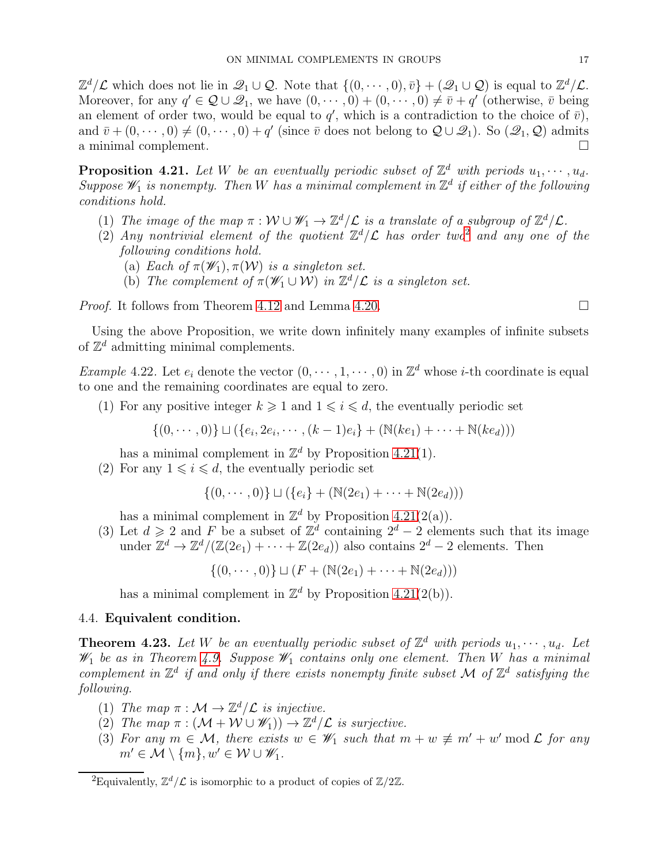$\mathbb{Z}^d/\mathcal{L}$  which does not lie in  $\mathscr{Q}_1 \cup \mathcal{Q}$ . Note that  $\{(0, \dots, 0), \bar{v}\} + (\mathscr{Q}_1 \cup \mathcal{Q})$  is equal to  $\mathbb{Z}^d/\mathcal{L}$ . Moreover, for any  $q' \in \mathcal{Q} \cup \mathcal{Q}_1$ , we have  $(0, \dots, 0) + (0, \dots, 0) \neq \overline{v} + q'$  (otherwise,  $\overline{v}$  being an element of order two, would be equal to  $q'$ , which is a contradiction to the choice of  $\bar{v}$ ), and  $\bar{v} + (0, \dots, 0) \neq (0, \dots, 0) + q'$  (since  $\bar{v}$  does not belong to  $\mathcal{Q} \cup \mathcal{Q}_1$ ). So  $(\mathcal{Q}_1, \mathcal{Q})$  admits a minimal complement.

<span id="page-16-3"></span>**Proposition 4.21.** Let W be an eventually periodic subset of  $\mathbb{Z}^d$  with periods  $u_1, \dots, u_d$ . Suppose  $\mathscr{W}_1$  is nonempty. Then W has a minimal complement in  $\mathbb{Z}^d$  if either of the following conditions hold.

- (1) The image of the map  $\pi : \mathcal{W} \cup \mathcal{W}_1 \to \mathbb{Z}^d/\mathcal{L}$  is a translate of a subgroup of  $\mathbb{Z}^d/\mathcal{L}$ .
- ([2](#page-16-4)) Any nontrivial element of the quotient  $\mathbb{Z}^d/\mathcal{L}$  has order two<sup>2</sup> and any one of the following conditions hold.
	- (a) Each of  $\pi(\mathscr{W}_1), \pi(\mathcal{W})$  is a singleton set.
	- (b) The complement of  $\pi(\mathscr{W}_1 \cup \mathcal{W})$  in  $\mathbb{Z}^d/\mathcal{L}$  is a singleton set.

*Proof.* It follows from Theorem [4.12](#page-12-2) and Lemma [4.20.](#page-15-1)

Using the above Proposition, we write down infinitely many examples of infinite subsets of  $\mathbb{Z}^d$  admitting minimal complements.

<span id="page-16-1"></span>*Example* 4.22. Let  $e_i$  denote the vector  $(0, \dots, 1, \dots, 0)$  in  $\mathbb{Z}^d$  whose *i*-th coordinate is equal to one and the remaining coordinates are equal to zero.

(1) For any positive integer  $k \geqslant 1$  and  $1 \leqslant i \leqslant d$ , the eventually periodic set

 $\{(0, \dots, 0)\}\sqcup (\{e_i, 2e_i, \dots, (k-1)e_i\} + (\mathbb{N}(ke_1) + \dots + \mathbb{N}(ke_d)))$ 

has a minimal complement in  $\mathbb{Z}^d$  by Proposition [4.21\(](#page-16-3)1).

(2) For any  $1 \leq i \leq d$ , the eventually periodic set

$$
\{(0,\dots,0)\}\sqcup(\{e_i\} + (\mathbb{N}(2e_1) + \dots + \mathbb{N}(2e_d)))
$$

has a minimal complement in  $\mathbb{Z}^d$  by Proposition [4.21\(](#page-16-3)2(a)).

(3) Let  $d \geqslant 2$  and F be a subset of  $\mathbb{Z}^d$  containing  $2^d - 2$  elements such that its image under  $\mathbb{Z}^d \to \mathbb{Z}^d/(\mathbb{Z}(2e_1) + \cdots + \mathbb{Z}(2e_d))$  also contains  $2^d - 2$  elements. Then

 $\{(0, \dots, 0)\} \sqcup (F + (\mathbb{N}(2e_1) + \dots + \mathbb{N}(2e_d)))$ 

has a minimal complement in  $\mathbb{Z}^d$  by Proposition [4.21\(](#page-16-3)2(b)).

## <span id="page-16-0"></span>4.4. Equivalent condition.

<span id="page-16-2"></span>**Theorem 4.23.** Let W be an eventually periodic subset of  $\mathbb{Z}^d$  with periods  $u_1, \dots, u_d$ . Let  $\mathscr{W}_1$  be as in Theorem [4.9.](#page-11-1) Suppose  $\mathscr{W}_1$  contains only one element. Then W has a minimal complement in  $\mathbb{Z}^d$  if and only if there exists nonempty finite subset M of  $\mathbb{Z}^d$  satisfying the following.

- (1) The map  $\pi : \mathcal{M} \to \mathbb{Z}^d/\mathcal{L}$  is injective.
- (2) The map  $\pi : (\mathcal{M} + \mathcal{W} \cup \mathscr{W}_1)) \to \mathbb{Z}^d/\mathcal{L}$  is surjective.
- (3) For any  $m \in \mathcal{M}$ , there exists  $w \in \mathscr{W}_1$  such that  $m + w \not\equiv m' + w' \mod \mathcal{L}$  for any  $m' \in \mathcal{M} \setminus \{m\}, w' \in \mathcal{W} \cup \mathscr{W}_1.$

<span id="page-16-4"></span><sup>&</sup>lt;sup>2</sup>Equivalently,  $\mathbb{Z}^d/\mathcal{L}$  is isomorphic to a product of copies of  $\mathbb{Z}/2\mathbb{Z}$ .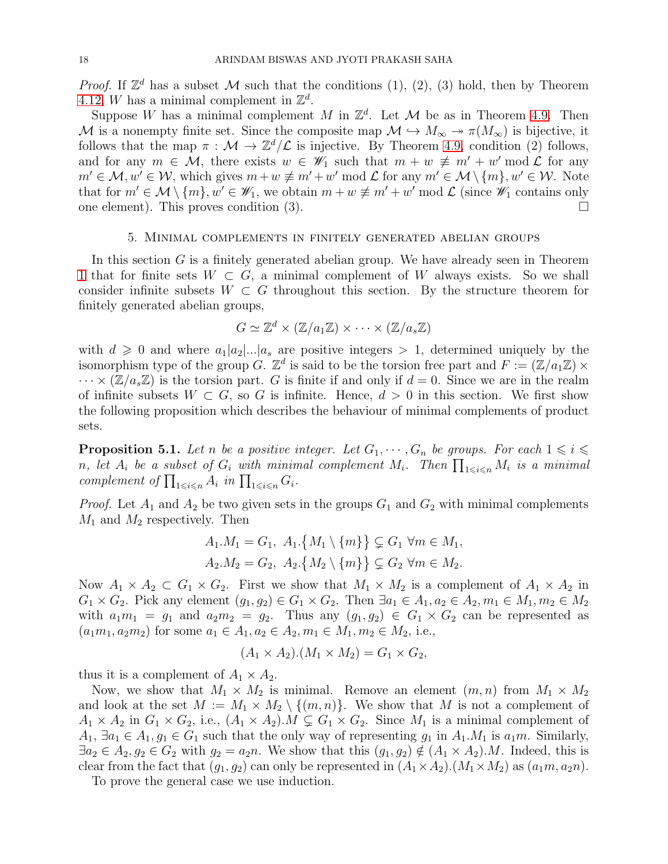*Proof.* If  $\mathbb{Z}^d$  has a subset M such that the conditions (1), (2), (3) hold, then by Theorem [4.12,](#page-12-2) W has a minimal complement in  $\mathbb{Z}^d$ .

Suppose W has a minimal complement M in  $\mathbb{Z}^d$ . Let  $\mathcal M$  be as in Theorem [4.9.](#page-11-1) Then M is a nonempty finite set. Since the composite map  $\mathcal{M} \hookrightarrow M_{\infty} \twoheadrightarrow \pi(M_{\infty})$  is bijective, it follows that the map  $\pi : \mathcal{M} \to \mathbb{Z}^d/\mathcal{L}$  is injective. By Theorem [4.9,](#page-11-1) condition (2) follows, and for any  $m \in \mathcal{M}$ , there exists  $w \in \mathscr{W}_1$  such that  $m + w \not\equiv m' + w' \mod \mathcal{L}$  for any  $m' \in \mathcal{M}, w' \in \mathcal{W}$ , which gives  $m+w \not\equiv m'+w' \mod \mathcal{L}$  for any  $m' \in \mathcal{M} \setminus \{m\}, w' \in \mathcal{W}$ . Note that for  $m' \in \mathcal{M} \setminus \{m\}, w' \in \mathscr{W}_1$ , we obtain  $m + w \not\equiv m' + w' \mod \mathcal{L}$  (since  $\mathscr{W}_1$  contains only one element). This proves condition (3).  $\Box$ 

#### 5. Minimal complements in finitely generated abelian groups

<span id="page-17-0"></span>In this section  $G$  is a finitely generated abelian group. We have already seen in Theorem [1](#page-1-4) that for finite sets  $W \subset G$ , a minimal complement of W always exists. So we shall consider infinite subsets  $W \subset G$  throughout this section. By the structure theorem for finitely generated abelian groups,

$$
G \simeq \mathbb{Z}^d \times (\mathbb{Z}/a_1\mathbb{Z}) \times \cdots \times (\mathbb{Z}/a_s\mathbb{Z})
$$

with  $d \geq 0$  and where  $a_1|a_2|...|a_s$  are positive integers  $> 1$ , determined uniquely by the isomorphism type of the group G.  $\mathbb{Z}^d$  is said to be the torsion free part and  $F := (\mathbb{Z}/a_1\mathbb{Z}) \times$  $\cdots \times (\mathbb{Z}/a_s\mathbb{Z})$  is the torsion part. G is finite if and only if  $d = 0$ . Since we are in the realm of infinite subsets  $W \subset G$ , so G is infinite. Hence,  $d > 0$  in this section. We first show the following proposition which describes the behaviour of minimal complements of product sets.

<span id="page-17-1"></span>**Proposition 5.1.** Let n be a positive integer. Let  $G_1, \dots, G_n$  be groups. For each  $1 \leq i \leq n$ *n*, let  $A_i$  be a subset of  $G_i$  with minimal complement  $M_i$ . Then  $\prod_{1\leqslant i\leqslant n}M_i$  is a minimal complement of  $\prod_{1 \leq i \leq n} A_i$  in  $\prod_{1 \leq i \leq n} G_i$ .

*Proof.* Let  $A_1$  and  $A_2$  be two given sets in the groups  $G_1$  and  $G_2$  with minimal complements  $M_1$  and  $M_2$  respectively. Then

$$
A_1.M_1 = G_1, A_1.\{M_1 \setminus \{m\}\} \subsetneq G_1 \ \forall m \in M_1,
$$
  

$$
A_2.M_2 = G_2, A_2.\{M_2 \setminus \{m\}\} \subsetneq G_2 \ \forall m \in M_2.
$$

Now  $A_1 \times A_2 \subset G_1 \times G_2$ . First we show that  $M_1 \times M_2$  is a complement of  $A_1 \times A_2$  in  $G_1 \times G_2$ . Pick any element  $(g_1, g_2) \in G_1 \times G_2$ . Then  $\exists a_1 \in A_1, a_2 \in A_2, m_1 \in M_1, m_2 \in M_2$ with  $a_1m_1 = g_1$  and  $a_2m_2 = g_2$ . Thus any  $(g_1, g_2) \in G_1 \times G_2$  can be represented as  $(a_1m_1, a_2m_2)$  for some  $a_1 \in A_1, a_2 \in A_2, m_1 \in M_1, m_2 \in M_2$ , i.e.,

$$
(A_1 \times A_2) \cdot (M_1 \times M_2) = G_1 \times G_2,
$$

thus it is a complement of  $A_1 \times A_2$ .

Now, we show that  $M_1 \times M_2$  is minimal. Remove an element  $(m, n)$  from  $M_1 \times M_2$ and look at the set  $M := M_1 \times M_2 \setminus \{(m,n)\}.$  We show that M is not a complement of  $A_1 \times A_2$  in  $G_1 \times G_2$ , i.e.,  $(A_1 \times A_2)$ .  $M \subsetneq G_1 \times G_2$ . Since  $M_1$  is a minimal complement of  $A_1, \exists a_1 \in A_1, g_1 \in G_1$  such that the only way of representing  $g_1$  in  $A_1.M_1$  is  $a_1m$ . Similarly,  $\exists a_2 \in A_2, g_2 \in G_2$  with  $g_2 = a_2 n$ . We show that this  $(g_1, g_2) \notin (A_1 \times A_2)$ . Indeed, this is clear from the fact that  $(g_1, g_2)$  can only be represented in  $(A_1 \times A_2)$ . $(M_1 \times M_2)$  as  $(a_1 m, a_2 n)$ .

To prove the general case we use induction.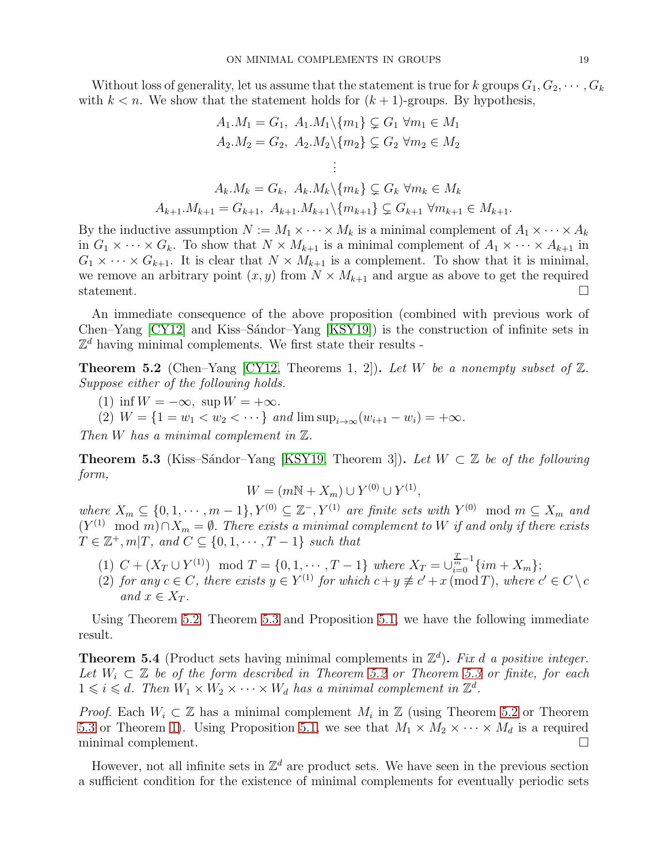Without loss of generality, let us assume that the statement is true for k groups  $G_1, G_2, \cdots, G_k$ with  $k < n$ . We show that the statement holds for  $(k + 1)$ -groups. By hypothesis,

$$
A_1.M_1 = G_1, A_1.M_1 \setminus \{m_1\} \subsetneq G_1 \ \forall m_1 \in M_1
$$
  
\n
$$
A_2.M_2 = G_2, A_2.M_2 \setminus \{m_2\} \subsetneq G_2 \ \forall m_2 \in M_2
$$
  
\n
$$
\vdots
$$
  
\n
$$
A_k.M_k = G_k, A_k.M_k \setminus \{m_k\} \subsetneq G_k \ \forall m_k \in M_k
$$
  
\n
$$
A_{k+1}.M_{k+1} = G_{k+1}, A_{k+1}.M_{k+1} \setminus \{m_{k+1}\} \subsetneq G_{k+1} \ \forall m_{k+1} \in M_{k+1}.
$$

By the inductive assumption  $N := M_1 \times \cdots \times M_k$  is a minimal complement of  $A_1 \times \cdots \times A_k$ in  $G_1 \times \cdots \times G_k$ . To show that  $N \times M_{k+1}$  is a minimal complement of  $A_1 \times \cdots \times A_{k+1}$  in  $G_1 \times \cdots \times G_{k+1}$ . It is clear that  $N \times M_{k+1}$  is a complement. To show that it is minimal, we remove an arbitrary point  $(x, y)$  from  $N \times M_{k+1}$  and argue as above to get the required statement. statement.  $\Box$ 

An immediate consequence of the above proposition (combined with previous work of Chen–Yang  $[CY12]$  and Kiss–Sandor–Yang  $[KSY19]$ ) is the construction of infinite sets in  $\mathbb{Z}^d$  having minimal complements. We first state their results -

<span id="page-18-0"></span>**Theorem 5.2** (Chen–Yang [\[CY12,](#page-21-3) Theorems 1, 2]). Let W be a nonempty subset of  $\mathbb{Z}$ . Suppose either of the following holds.

(1) inf  $W = -\infty$ , sup  $W = +\infty$ .

(2)  $W = \{1 = w_1 < w_2 < \cdots\}$  and  $\limsup_{i \to \infty} (w_{i+1} - w_i) = +\infty$ .

Then W has a minimal complement in  $\mathbb Z$ .

<span id="page-18-1"></span>**Theorem 5.3** (Kiss–Sándor–Yang [\[KSY19,](#page-21-4) Theorem 3]). Let  $W \subset \mathbb{Z}$  be of the following form,

$$
W = (mN + X_m) \cup Y^{(0)} \cup Y^{(1)},
$$

where  $X_m \subseteq \{0, 1, \dots, m-1\}$ ,  $Y^{(0)} \subseteq \mathbb{Z}^-, Y^{(1)}$  are finite sets with  $Y^{(0)}$  mod  $m \subseteq X_m$  and  $(Y^{(1)} \mod m) \cap X_m = \emptyset$ . There exists a minimal complement to W if and only if there exists  $T \in \mathbb{Z}^+, m | T$ , and  $C \subseteq \{0, 1, \cdots, T-1\}$  such that

- (1)  $C + (X_T \cup Y^{(1)}) \mod T = \{0, 1, \dots, T-1\}$  where  $X_T = \bigcup_{i=0}^{T-1} \{im + X_m\};$
- (2) for any  $c \in C$ , there exists  $y \in Y^{(1)}$  for which  $c + y \not\equiv c' + x \pmod{T}$ , where  $c' \in C \setminus c$ and  $x \in X_T$ .

Using Theorem [5.2,](#page-18-0) Theorem [5.3](#page-18-1) and Proposition [5.1,](#page-17-1) we have the following immediate result.

<span id="page-18-2"></span>**Theorem 5.4** (Product sets having minimal complements in  $\mathbb{Z}^d$ ). Fix d a positive integer. Let  $W_i \subset \mathbb{Z}$  be of the form described in Theorem [5.2](#page-18-0) or Theorem [5.3](#page-18-1) or finite, for each  $1 \leq i \leq d$ . Then  $W_1 \times W_2 \times \cdots \times W_d$  has a minimal complement in  $\mathbb{Z}^d$ .

*Proof.* Each  $W_i \subset \mathbb{Z}$  has a minimal complement  $M_i$  in  $\mathbb{Z}$  (using Theorem [5.2](#page-18-0) or Theorem [5.3](#page-18-1) or Theorem [1\)](#page-1-4). Using Proposition [5.1,](#page-17-1) we see that  $M_1 \times M_2 \times \cdots \times M_d$  is a required minimal complement. minimal complement.

However, not all infinite sets in  $\mathbb{Z}^d$  are product sets. We have seen in the previous section a sufficient condition for the existence of minimal complements for eventually periodic sets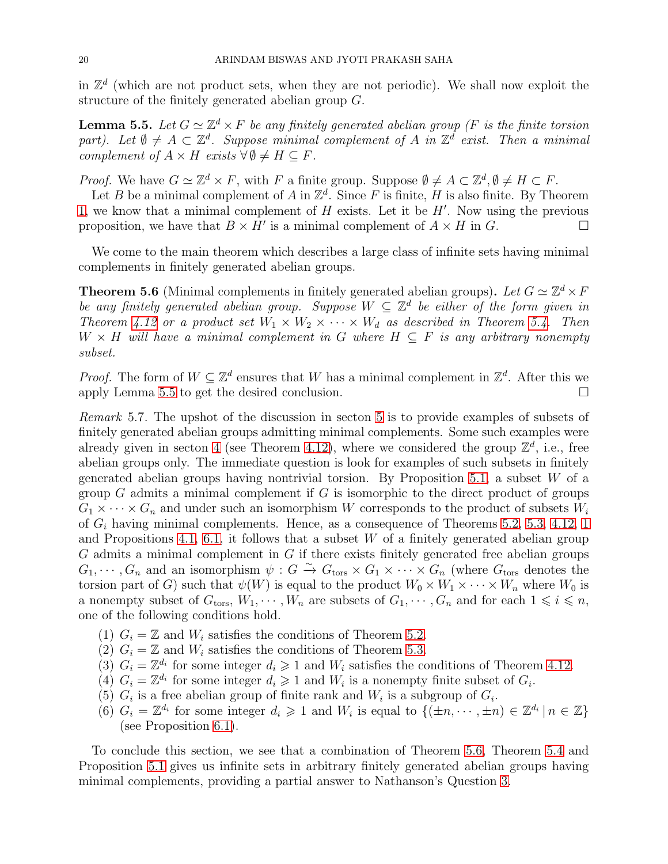in  $\mathbb{Z}^d$  (which are not product sets, when they are not periodic). We shall now exploit the structure of the finitely generated abelian group G.

<span id="page-19-2"></span>**Lemma 5.5.** Let  $G \simeq \mathbb{Z}^d \times F$  be any finitely generated abelian group (F is the finite torsion part). Let  $\emptyset \neq A \subset \mathbb{Z}^d$ . Suppose minimal complement of A in  $\mathbb{Z}^d$  exist. Then a minimal complement of  $A \times H$  exists  $\forall \emptyset \neq H \subseteq F$ .

*Proof.* We have  $G \simeq \mathbb{Z}^d \times F$ , with F a finite group. Suppose  $\emptyset \neq A \subset \mathbb{Z}^d$ ,  $\emptyset \neq H \subset F$ .

Let B be a minimal complement of A in  $\mathbb{Z}^d$ . Since F is finite, H is also finite. By Theorem [1,](#page-1-4) we know that a minimal complement of  $H$  exists. Let it be  $H'$ . Now using the previous proposition, we have that  $B \times H'$  is a minimal complement of  $A \times H$  in  $G$ .

We come to the main theorem which describes a large class of infinite sets having minimal complements in finitely generated abelian groups.

<span id="page-19-0"></span>**Theorem 5.6** (Minimal complements in finitely generated abelian groups). Let  $G \simeq \mathbb{Z}^d \times F$ be any finitely generated abelian group. Suppose  $W \subseteq \mathbb{Z}^d$  be either of the form given in Theorem [4.12](#page-12-2) or a product set  $W_1 \times W_2 \times \cdots \times W_d$  as described in Theorem [5.4.](#page-18-2) Then  $W \times H$  will have a minimal complement in G where  $H \subseteq F$  is any arbitrary nonempty subset.

*Proof.* The form of  $W \subseteq \mathbb{Z}^d$  ensures that W has a minimal complement in  $\mathbb{Z}^d$ . After this we apply Lemma [5.5](#page-19-2) to get the desired conclusion.

<span id="page-19-1"></span>Remark 5.7. The upshot of the discussion in secton [5](#page-17-0) is to provide examples of subsets of finitely generated abelian groups admitting minimal complements. Some such examples were already given in secton [4](#page-7-0) (see Theorem [4.12\)](#page-12-2), where we considered the group  $\mathbb{Z}^d$ , i.e., free abelian groups only. The immediate question is look for examples of such subsets in finitely generated abelian groups having nontrivial torsion. By Proposition [5.1,](#page-17-1) a subset  $W$  of a group  $G$  admits a minimal complement if  $G$  is isomorphic to the direct product of groups  $G_1 \times \cdots \times G_n$  and under such an isomorphism W corresponds to the product of subsets  $W_i$ of  $G_i$  having minimal complements. Hence, as a consequence of Theorems [5.2,](#page-18-0) [5.3,](#page-18-1) [4.12,](#page-12-2) [1](#page-1-4) and Propositions [4.1,](#page-7-1) [6.1,](#page-20-1) it follows that a subset  $W$  of a finitely generated abelian group  $G$  admits a minimal complement in  $G$  if there exists finitely generated free abelian groups  $G_1, \dots, G_n$  and an isomorphism  $\psi : G \xrightarrow{\sim} G_{\text{tors}} \times G_1 \times \dots \times G_n$  (where  $G_{\text{tors}}$  denotes the torsion part of G) such that  $\psi(W)$  is equal to the product  $W_0 \times W_1 \times \cdots \times W_n$  where  $W_0$  is a nonempty subset of  $G_{\text{tors}}, W_1, \cdots, W_n$  are subsets of  $G_1, \cdots, G_n$  and for each  $1 \leq i \leq n$ , one of the following conditions hold.

- (1)  $G_i = \mathbb{Z}$  and  $W_i$  satisfies the conditions of Theorem [5.2.](#page-18-0)
- (2)  $G_i = \mathbb{Z}$  and  $W_i$  satisfies the conditions of Theorem [5.3.](#page-18-1)
- (3)  $G_i = \mathbb{Z}^{d_i}$  for some integer  $d_i \geq 1$  and  $W_i$  satisfies the conditions of Theorem [4.12.](#page-12-2)
- (4)  $G_i = \mathbb{Z}^{d_i}$  for some integer  $d_i \geq 1$  and  $W_i$  is a nonempty finite subset of  $G_i$ .
- (5)  $G_i$  is a free abelian group of finite rank and  $W_i$  is a subgroup of  $G_i$ .
- (6)  $G_i = \mathbb{Z}^{d_i}$  for some integer  $d_i \geq 1$  and  $W_i$  is equal to  $\{(\pm n, \dots, \pm n) \in \mathbb{Z}^{d_i} | n \in \mathbb{Z}\}\$ (see Proposition [6.1\)](#page-20-1).

To conclude this section, we see that a combination of Theorem [5.6,](#page-19-0) Theorem [5.4](#page-18-2) and Proposition [5.1](#page-17-1) gives us infinite sets in arbitrary finitely generated abelian groups having minimal complements, providing a partial answer to Nathanson's Question [3.](#page-1-3)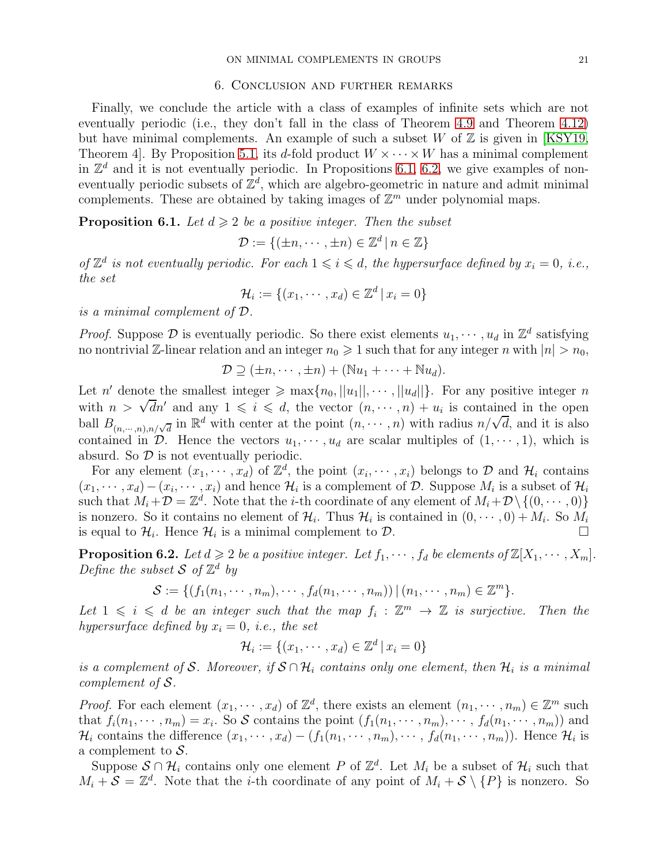#### 6. Conclusion and further remarks

<span id="page-20-0"></span>Finally, we conclude the article with a class of examples of infinite sets which are not eventually periodic (i.e., they don't fall in the class of Theorem [4.9](#page-11-1) and Theorem [4.12\)](#page-12-2) but have minimal complements. An example of such a subset W of  $\mathbb Z$  is given in [\[KSY19,](#page-21-4) Theorem 4. By Proposition [5.1,](#page-17-1) its d-fold product  $W \times \cdots \times W$  has a minimal complement in  $\mathbb{Z}^d$  and it is not eventually periodic. In Propositions [6.1,](#page-20-1) [6.2,](#page-20-2) we give examples of noneventually periodic subsets of  $\mathbb{Z}^d$ , which are algebro-geometric in nature and admit minimal complements. These are obtained by taking images of  $\mathbb{Z}^m$  under polynomial maps.

<span id="page-20-1"></span>**Proposition 6.1.** Let  $d \geq 2$  be a positive integer. Then the subset

$$
\mathcal{D} := \{ (\pm n, \cdots, \pm n) \in \mathbb{Z}^d \mid n \in \mathbb{Z} \}
$$

of  $\mathbb{Z}^d$  is not eventually periodic. For each  $1 \leq i \leq d$ , the hypersurface defined by  $x_i = 0$ , i.e., the set

$$
\mathcal{H}_i := \{(x_1, \cdots, x_d) \in \mathbb{Z}^d \, | \, x_i = 0\}
$$

is a minimal complement of D.

*Proof.* Suppose  $\mathcal D$  is eventually periodic. So there exist elements  $u_1, \dots, u_d$  in  $\mathbb Z^d$  satisfying no nontrivial Z-linear relation and an integer  $n_0 \geq 1$  such that for any integer n with  $|n| > n_0$ ,

$$
\mathcal{D} \supseteq (\pm n, \cdots, \pm n) + (\mathbb{N}u_1 + \cdots + \mathbb{N}u_d).
$$

Let n' denote the smallest integer  $\geq \max\{n_0, ||u_1||, \cdots, ||u_d||\}$ . For any positive integer n with  $n > \sqrt{d}n'$  and any  $1 \leq i \leq d$ , the vector  $(n, \dots, n) + u_i$  is contained in the open ball  $B_{(n,\cdots,n),n/\sqrt{d}}$  in  $\mathbb{R}^d$  with center at the point  $(n,\cdots,n)$  with radius  $n/\sqrt{d}$ , and it is also contained in  $\mathcal{D}$ . Hence the vectors  $u_1, \dots, u_d$  are scalar multiples of  $(1, \dots, 1)$ , which is absurd. So  $\mathcal D$  is not eventually periodic.

For any element  $(x_1, \dots, x_d)$  of  $\mathbb{Z}^d$ , the point  $(x_i, \dots, x_i)$  belongs to  $\mathcal{D}$  and  $\mathcal{H}_i$  contains  $(x_1, \dots, x_d) - (x_i, \dots, x_i)$  and hence  $\mathcal{H}_i$  is a complement of  $\mathcal{D}$ . Suppose  $M_i$  is a subset of  $\mathcal{H}_i$ such that  $M_i + \mathcal{D} = \mathbb{Z}^d$ . Note that the *i*-th coordinate of any element of  $M_i + \mathcal{D} \setminus \{(0, \dots, 0)\}$ is nonzero. So it contains no element of  $\mathcal{H}_i$ . Thus  $\mathcal{H}_i$  is contained in  $(0, \dots, 0) + M_i$ . So  $M_i$ is equal to  $\mathcal{H}_i$ . Hence  $\mathcal{H}_i$  is a minimal complement to  $\mathcal{D}$ .

<span id="page-20-2"></span>**Proposition 6.2.** Let  $d \geq 2$  be a positive integer. Let  $f_1, \dots, f_d$  be elements of  $\mathbb{Z}[X_1, \dots, X_m]$ . Define the subset  $S$  of  $\mathbb{Z}^d$  by

$$
S := \{ (f_1(n_1, \dots, n_m), \dots, f_d(n_1, \dots, n_m)) \mid (n_1, \dots, n_m) \in \mathbb{Z}^m \}.
$$

Let  $1 \leq i \leq d$  be an integer such that the map  $f_i : \mathbb{Z}^m \to \mathbb{Z}$  is surjective. Then the hypersurface defined by  $x_i = 0$ , i.e., the set

$$
\mathcal{H}_i := \{(x_1, \cdots, x_d) \in \mathbb{Z}^d \, | \, x_i = 0\}
$$

is a complement of S. Moreover, if  $S \cap \mathcal{H}_i$  contains only one element, then  $\mathcal{H}_i$  is a minimal complement of S.

*Proof.* For each element  $(x_1, \dots, x_d)$  of  $\mathbb{Z}^d$ , there exists an element  $(n_1, \dots, n_m) \in \mathbb{Z}^m$  such that  $f_i(n_1, \dots, n_m) = x_i$ . So S contains the point  $(f_1(n_1, \dots, n_m), \dots, f_d(n_1, \dots, n_m))$  and  $\mathcal{H}_i$  contains the difference  $(x_1, \dots, x_d) - (f_1(n_1, \dots, n_m), \dots, f_d(n_1, \dots, n_m))$ . Hence  $\mathcal{H}_i$  is a complement to  $S$ .

Suppose  $S \cap \mathcal{H}_i$  contains only one element P of  $\mathbb{Z}^d$ . Let  $M_i$  be a subset of  $\mathcal{H}_i$  such that  $M_i + S = \mathbb{Z}^d$ . Note that the *i*-th coordinate of any point of  $M_i + S \setminus \{P\}$  is nonzero. So